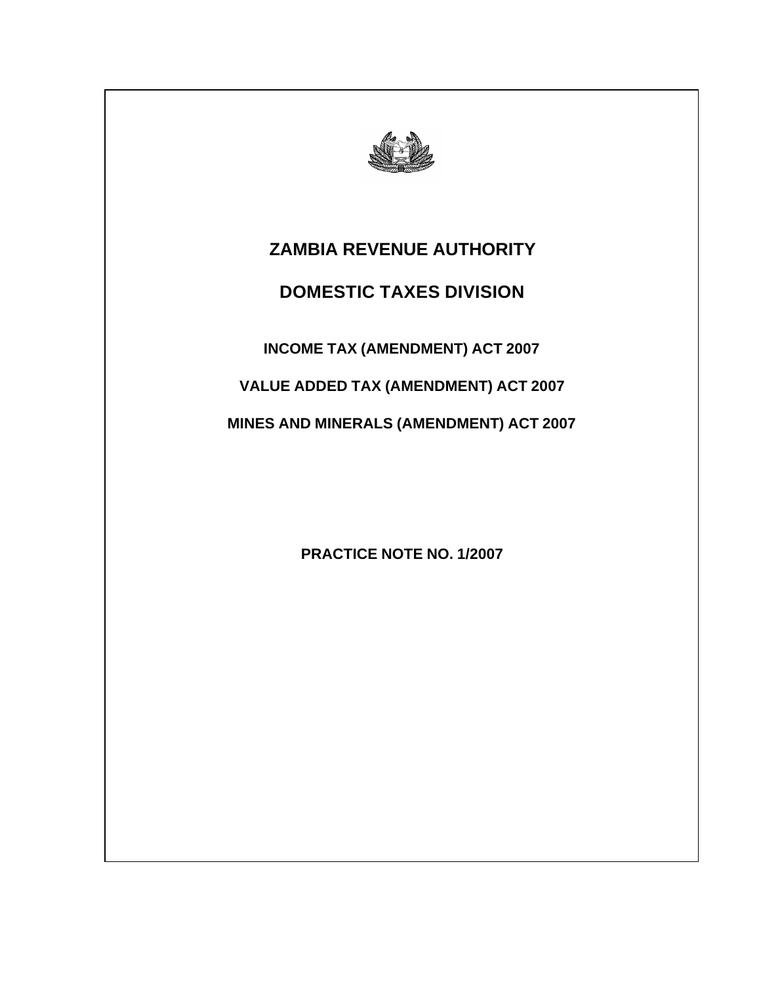

# **ZAMBIA REVENUE AUTHORITY**

# **DOMESTIC TAXES DIVISION**

**INCOME TAX (AMENDMENT) ACT 2007**

**VALUE ADDED TAX (AMENDMENT) ACT 2007**

**MINES AND MINERALS (AMENDMENT) ACT 2007**

**PRACTICE NOTE NO. 1/2007**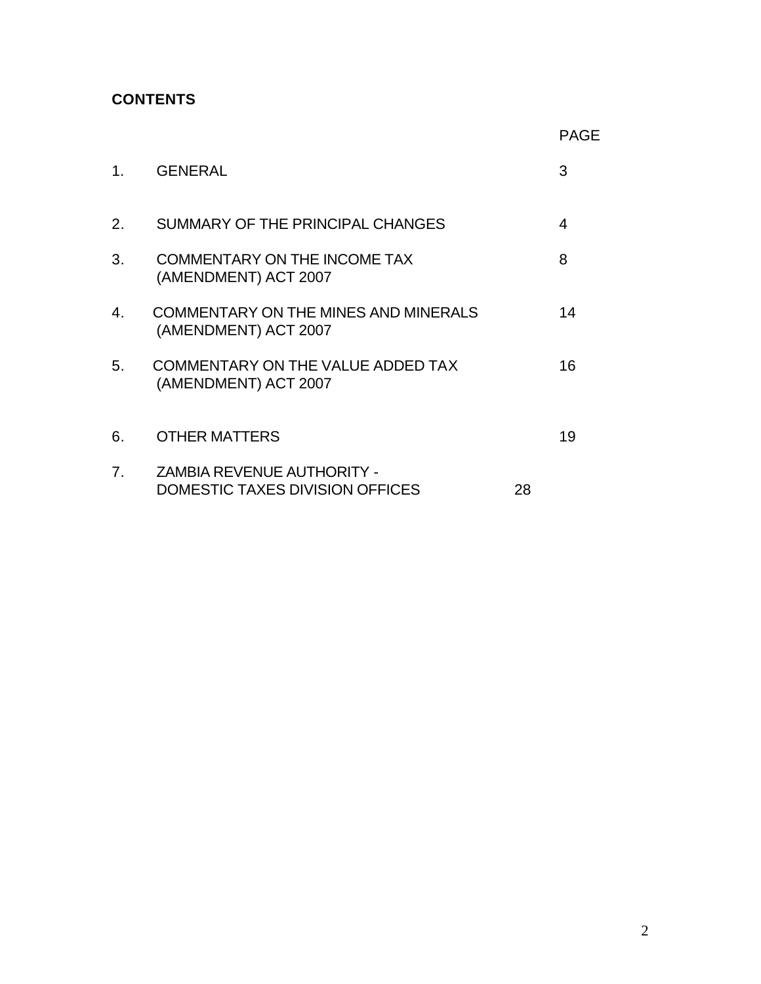# **CONTENTS**

|                |                                                                             |    | <b>PAGE</b> |
|----------------|-----------------------------------------------------------------------------|----|-------------|
| 1.             | <b>GENERAL</b>                                                              |    | 3           |
| 2.             | SUMMARY OF THE PRINCIPAL CHANGES                                            |    | 4           |
| 3.             | <b>COMMENTARY ON THE INCOME TAX</b><br>(AMENDMENT) ACT 2007                 |    | 8           |
| 4.             | COMMENTARY ON THE MINES AND MINERALS<br>(AMENDMENT) ACT 2007                |    | 14          |
| 5.             | COMMENTARY ON THE VALUE ADDED TAX<br>(AMENDMENT) ACT 2007                   |    | 16          |
| 6.             | <b>OTHER MATTERS</b>                                                        |    | 19          |
| 7 <sub>1</sub> | <b>ZAMBIA REVENUE AUTHORITY -</b><br><b>DOMESTIC TAXES DIVISION OFFICES</b> | 28 |             |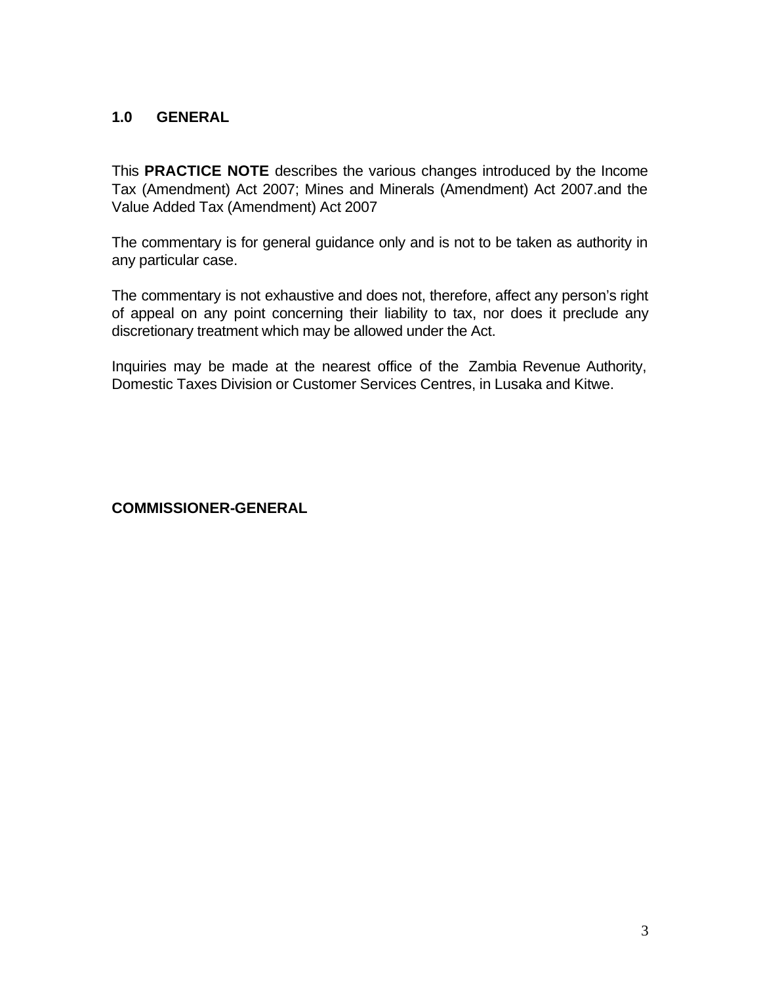## **1.0 GENERAL**

This **PRACTICE NOTE** describes the various changes introduced by the Income Tax (Amendment) Act 2007; Mines and Minerals (Amendment) Act 2007.and the Value Added Tax (Amendment) Act 2007

The commentary is for general guidance only and is not to be taken as authority in any particular case.

The commentary is not exhaustive and does not, therefore, affect any person's right of appeal on any point concerning their liability to tax, nor does it preclude any discretionary treatment which may be allowed under the Act.

Inquiries may be made at the nearest office of the Zambia Revenue Authority, Domestic Taxes Division or Customer Services Centres, in Lusaka and Kitwe.

**COMMISSIONER-GENERAL**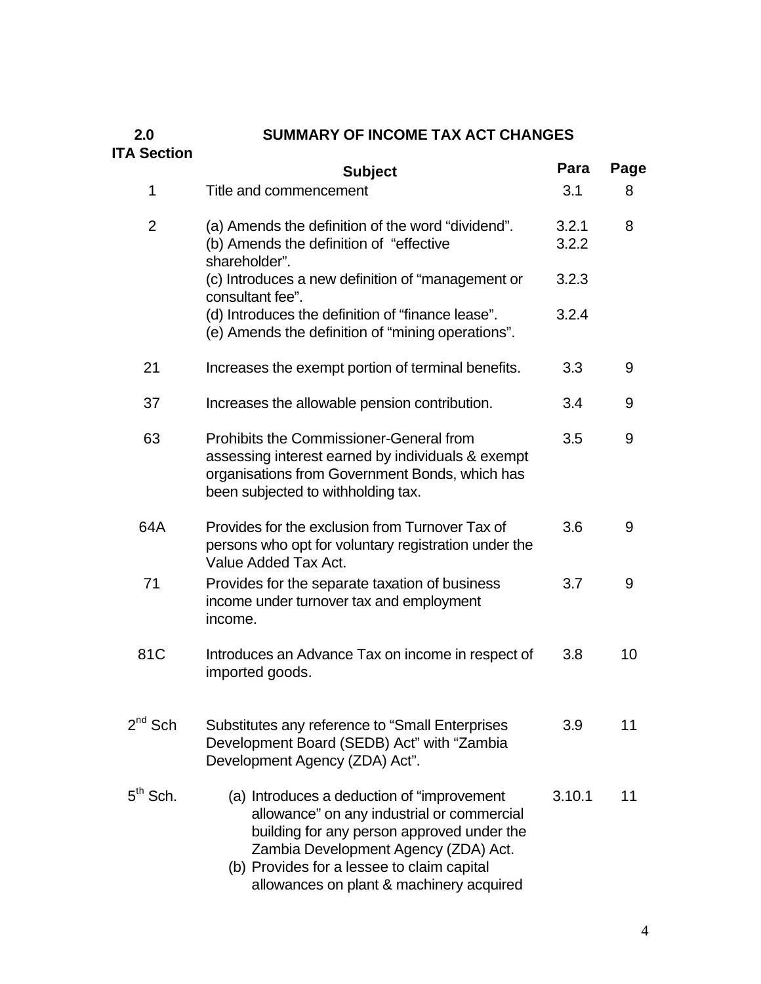# **2.0 SUMMARY OF INCOME TAX ACT CHANGES**

# **ITA Section**

|                | <b>Subject</b>                                                                                                                                                                                                                                                            | Para           | Page |
|----------------|---------------------------------------------------------------------------------------------------------------------------------------------------------------------------------------------------------------------------------------------------------------------------|----------------|------|
| 1              | Title and commencement                                                                                                                                                                                                                                                    | 3.1            | 8    |
| $\overline{2}$ | (a) Amends the definition of the word "dividend".<br>(b) Amends the definition of "effective"<br>shareholder".                                                                                                                                                            | 3.2.1<br>3.2.2 | 8    |
|                | (c) Introduces a new definition of "management or<br>consultant fee".                                                                                                                                                                                                     | 3.2.3          |      |
|                | (d) Introduces the definition of "finance lease".<br>(e) Amends the definition of "mining operations".                                                                                                                                                                    | 3.2.4          |      |
| 21             | Increases the exempt portion of terminal benefits.                                                                                                                                                                                                                        | 3.3            | 9    |
| 37             | Increases the allowable pension contribution.                                                                                                                                                                                                                             | 3.4            | 9    |
| 63             | Prohibits the Commissioner-General from<br>assessing interest earned by individuals & exempt<br>organisations from Government Bonds, which has<br>been subjected to withholding tax.                                                                                      | 3.5            | 9    |
| 64A            | Provides for the exclusion from Turnover Tax of<br>persons who opt for voluntary registration under the<br>Value Added Tax Act.                                                                                                                                           | 3.6            | 9    |
| 71             | Provides for the separate taxation of business<br>income under turnover tax and employment<br>income.                                                                                                                                                                     | 3.7            | 9    |
| 81C            | Introduces an Advance Tax on income in respect of<br>imported goods.                                                                                                                                                                                                      | 3.8            | 10   |
| $2^{nd}$ Sch   | Substitutes any reference to "Small Enterprises<br>Development Board (SEDB) Act" with "Zambia<br>Development Agency (ZDA) Act".                                                                                                                                           | 3.9            | 11   |
| $5th$ Sch.     | (a) Introduces a deduction of "improvement"<br>allowance" on any industrial or commercial<br>building for any person approved under the<br>Zambia Development Agency (ZDA) Act.<br>(b) Provides for a lessee to claim capital<br>allowances on plant & machinery acquired | 3.10.1         | 11   |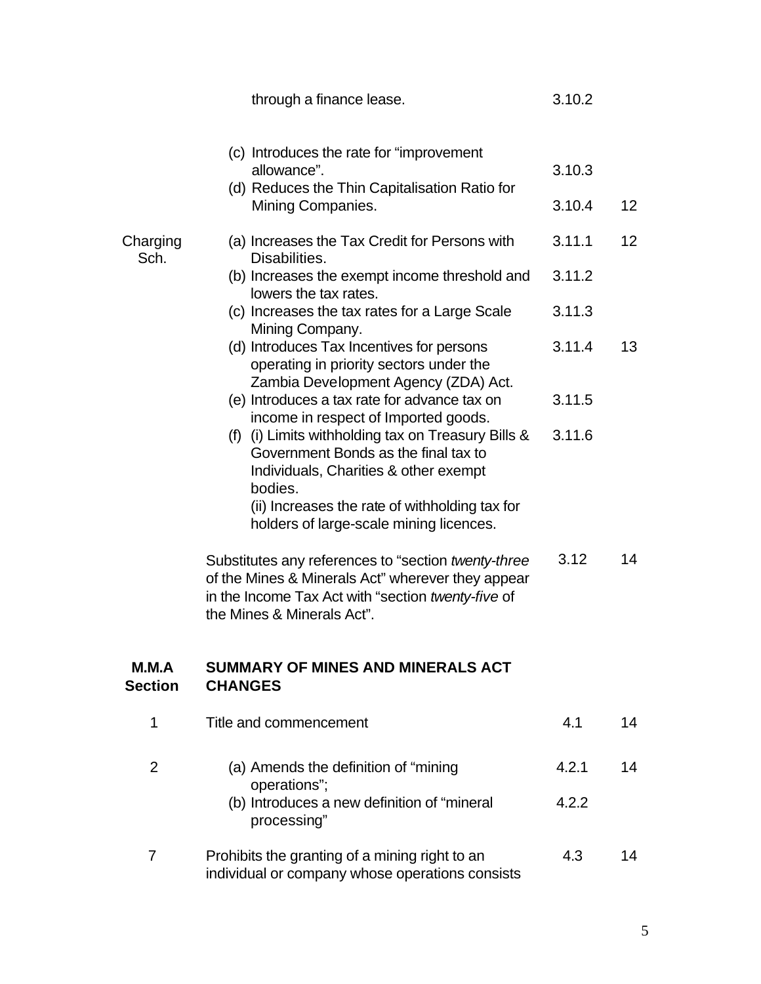|                         | through a finance lease.                                                                                                                                                                                                                       | 3.10.2           |                 |
|-------------------------|------------------------------------------------------------------------------------------------------------------------------------------------------------------------------------------------------------------------------------------------|------------------|-----------------|
|                         | (c) Introduces the rate for "improvement"<br>allowance".<br>(d) Reduces the Thin Capitalisation Ratio for<br>Mining Companies.                                                                                                                 | 3.10.3<br>3.10.4 | 12 <sup>2</sup> |
| Charging<br>Sch.        | (a) Increases the Tax Credit for Persons with<br>Disabilities.                                                                                                                                                                                 | 3.11.1           | 12 <sup>2</sup> |
|                         | (b) Increases the exempt income threshold and<br>lowers the tax rates.                                                                                                                                                                         | 3.11.2           |                 |
|                         | (c) Increases the tax rates for a Large Scale<br>Mining Company.                                                                                                                                                                               | 3.11.3           |                 |
|                         | (d) Introduces Tax Incentives for persons<br>operating in priority sectors under the<br>Zambia Development Agency (ZDA) Act.                                                                                                                   | 3.11.4           | 13              |
|                         | (e) Introduces a tax rate for advance tax on<br>income in respect of Imported goods.                                                                                                                                                           | 3.11.5           |                 |
|                         | (f) (i) Limits withholding tax on Treasury Bills $\&$<br>Government Bonds as the final tax to<br>Individuals, Charities & other exempt<br>bodies.<br>(ii) Increases the rate of withholding tax for<br>holders of large-scale mining licences. | 3.11.6           |                 |
|                         | Substitutes any references to "section twenty-three<br>of the Mines & Minerals Act" wherever they appear<br>in the Income Tax Act with "section twenty-five of<br>the Mines & Minerals Act".                                                   | 3.12             | 14              |
| M.M.A<br><b>Section</b> | <b>SUMMARY OF MINES AND MINERALS ACT</b><br><b>CHANGES</b>                                                                                                                                                                                     |                  |                 |
| 1                       | Title and commencement                                                                                                                                                                                                                         | 4.1              | 14              |
| $\overline{2}$          | (a) Amends the definition of "mining"                                                                                                                                                                                                          | 4.2.1            | 14              |
|                         | operations";<br>(b) Introduces a new definition of "mineral<br>processing"                                                                                                                                                                     | 4.2.2            |                 |
| $\overline{7}$          | Prohibits the granting of a mining right to an<br>individual or company whose operations consists                                                                                                                                              | 4.3              | 14              |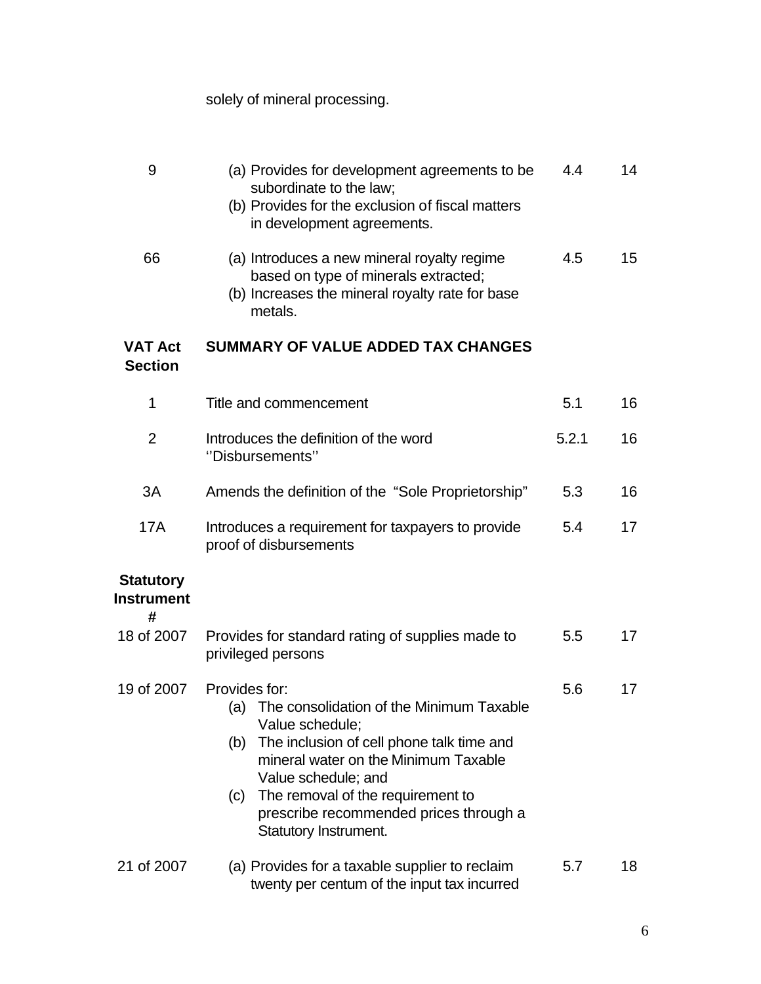# solely of mineral processing.

| 9                                          | (a) Provides for development agreements to be<br>subordinate to the law;<br>(b) Provides for the exclusion of fiscal matters<br>in development agreements.                                                                                                                                                                   | 4.4   | 14 |
|--------------------------------------------|------------------------------------------------------------------------------------------------------------------------------------------------------------------------------------------------------------------------------------------------------------------------------------------------------------------------------|-------|----|
| 66                                         | (a) Introduces a new mineral royalty regime<br>based on type of minerals extracted;<br>(b) Increases the mineral royalty rate for base<br>metals.                                                                                                                                                                            | 4.5   | 15 |
| <b>VAT Act</b><br><b>Section</b>           | <b>SUMMARY OF VALUE ADDED TAX CHANGES</b>                                                                                                                                                                                                                                                                                    |       |    |
| 1                                          | Title and commencement                                                                                                                                                                                                                                                                                                       | 5.1   | 16 |
| 2                                          | Introduces the definition of the word<br>"Disbursements"                                                                                                                                                                                                                                                                     | 5.2.1 | 16 |
| 3A                                         | Amends the definition of the "Sole Proprietorship"                                                                                                                                                                                                                                                                           | 5.3   | 16 |
| 17A                                        | Introduces a requirement for taxpayers to provide<br>proof of disbursements                                                                                                                                                                                                                                                  | 5.4   | 17 |
| <b>Statutory</b><br><b>Instrument</b><br># |                                                                                                                                                                                                                                                                                                                              |       |    |
| 18 of 2007                                 | Provides for standard rating of supplies made to<br>privileged persons                                                                                                                                                                                                                                                       | 5.5   | 17 |
| 19 of 2007                                 | Provides for:<br>The consolidation of the Minimum Taxable<br>(a)<br>Value schedule;<br>The inclusion of cell phone talk time and<br>(b)<br>mineral water on the Minimum Taxable<br>Value schedule; and<br>The removal of the requirement to<br>(c)<br>prescribe recommended prices through a<br><b>Statutory Instrument.</b> | 5.6   | 17 |
| 21 of 2007                                 | (a) Provides for a taxable supplier to reclaim<br>twenty per centum of the input tax incurred                                                                                                                                                                                                                                | 5.7   | 18 |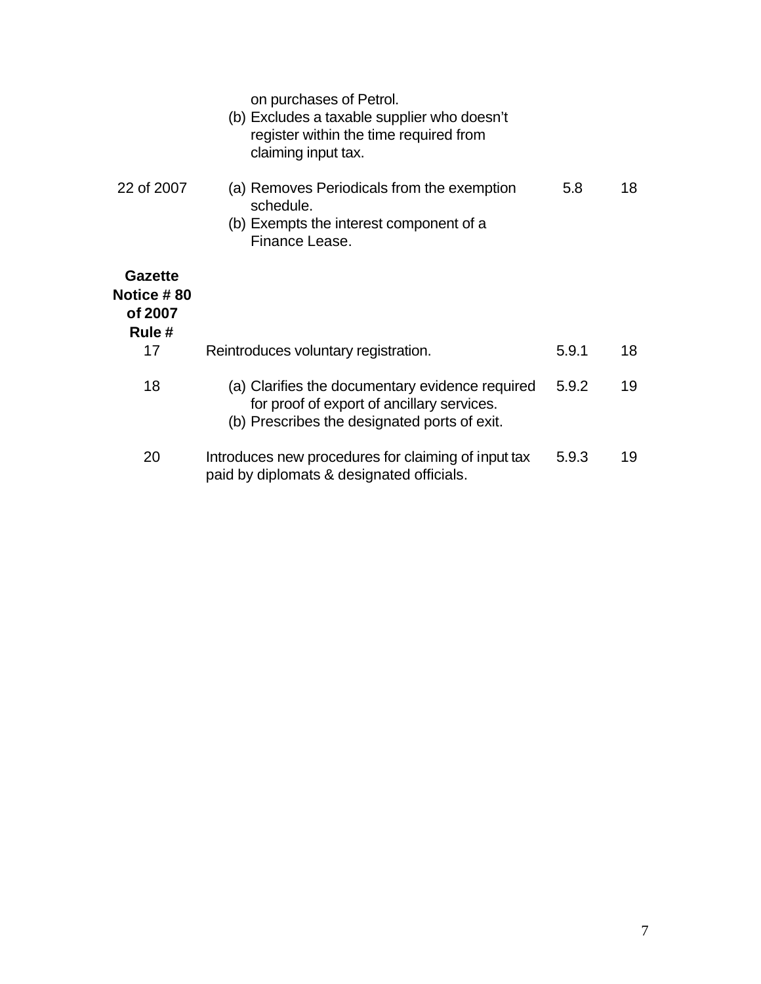|                                                   | on purchases of Petrol.<br>(b) Excludes a taxable supplier who doesn't<br>register within the time required from<br>claiming input tax.       |       |    |
|---------------------------------------------------|-----------------------------------------------------------------------------------------------------------------------------------------------|-------|----|
| 22 of 2007                                        | (a) Removes Periodicals from the exemption<br>schedule.<br>(b) Exempts the interest component of a<br>Finance Lease.                          | 5.8   | 18 |
| <b>Gazette</b><br>Notice #80<br>of 2007<br>Rule # |                                                                                                                                               |       |    |
| 17                                                | Reintroduces voluntary registration.                                                                                                          | 5.9.1 | 18 |
| 18                                                | (a) Clarifies the documentary evidence required<br>for proof of export of ancillary services.<br>(b) Prescribes the designated ports of exit. | 5.9.2 | 19 |
| 20                                                | Introduces new procedures for claiming of input tax<br>paid by diplomats & designated officials.                                              | 5.9.3 | 19 |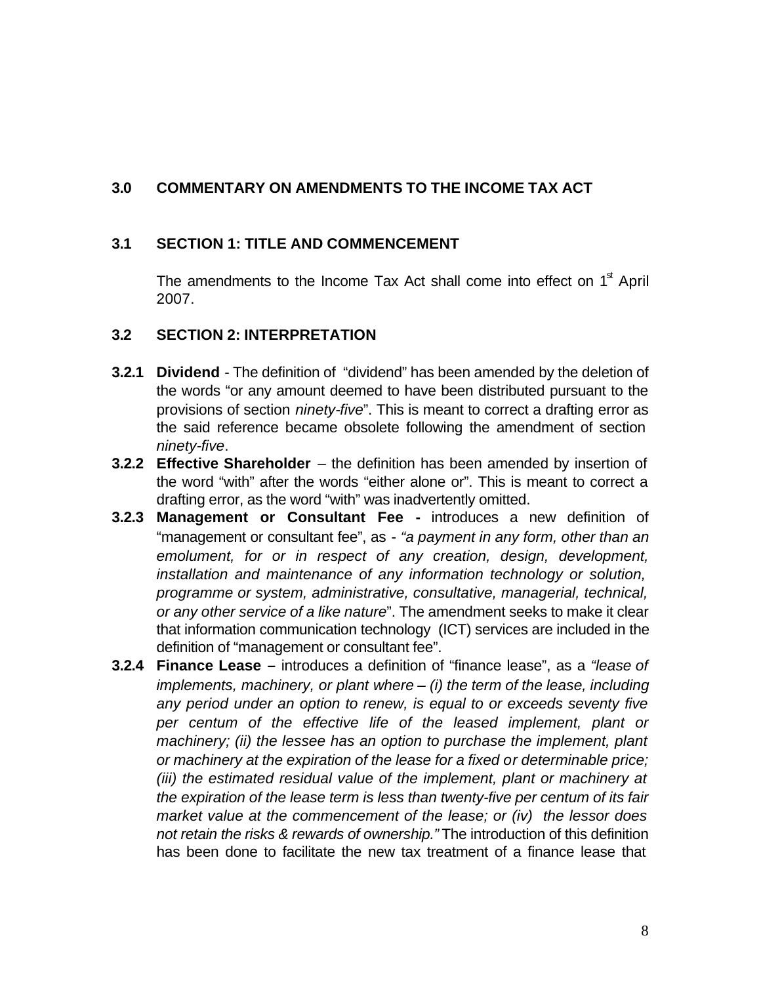## **3.0 COMMENTARY ON AMENDMENTS TO THE INCOME TAX ACT**

#### **3.1 SECTION 1: TITLE AND COMMENCEMENT**

The amendments to the Income Tax Act shall come into effect on  $1<sup>st</sup>$  April 2007.

#### **3.2 SECTION 2: INTERPRETATION**

- **3.2.1 Dividend** The definition of "dividend" has been amended by the deletion of the words "or any amount deemed to have been distributed pursuant to the provisions of section *ninety-five*". This is meant to correct a drafting error as the said reference became obsolete following the amendment of section *ninety-five*.
- **3.2.2 Effective Shareholder**  the definition has been amended by insertion of the word "with" after the words "either alone or". This is meant to correct a drafting error, as the word "with" was inadvertently omitted.
- **3.2.3 Management or Consultant Fee -** introduces a new definition of "management or consultant fee", as - *"a payment in any form, other than an emolument, for or in respect of any creation, design, development, installation and maintenance of any information technology or solution, programme or system, administrative, consultative, managerial, technical, or any other service of a like nature*". The amendment seeks to make it clear that information communication technology (ICT) services are included in the definition of "management or consultant fee".
- **3.2.4 Finance Lease –** introduces a definition of "finance lease", as a *"lease of implements, machinery, or plant where – (i) the term of the lease, including any period under an option to renew, is equal to or exceeds seventy five per centum of the effective life of the leased implement, plant or machinery; (ii) the lessee has an option to purchase the implement, plant or machinery at the expiration of the lease for a fixed or determinable price; (iii) the estimated residual value of the implement, plant or machinery at the expiration of the lease term is less than twenty-five per centum of its fair market value at the commencement of the lease; or (iv) the lessor does not retain the risks & rewards of ownership."* The introduction of this definition has been done to facilitate the new tax treatment of a finance lease that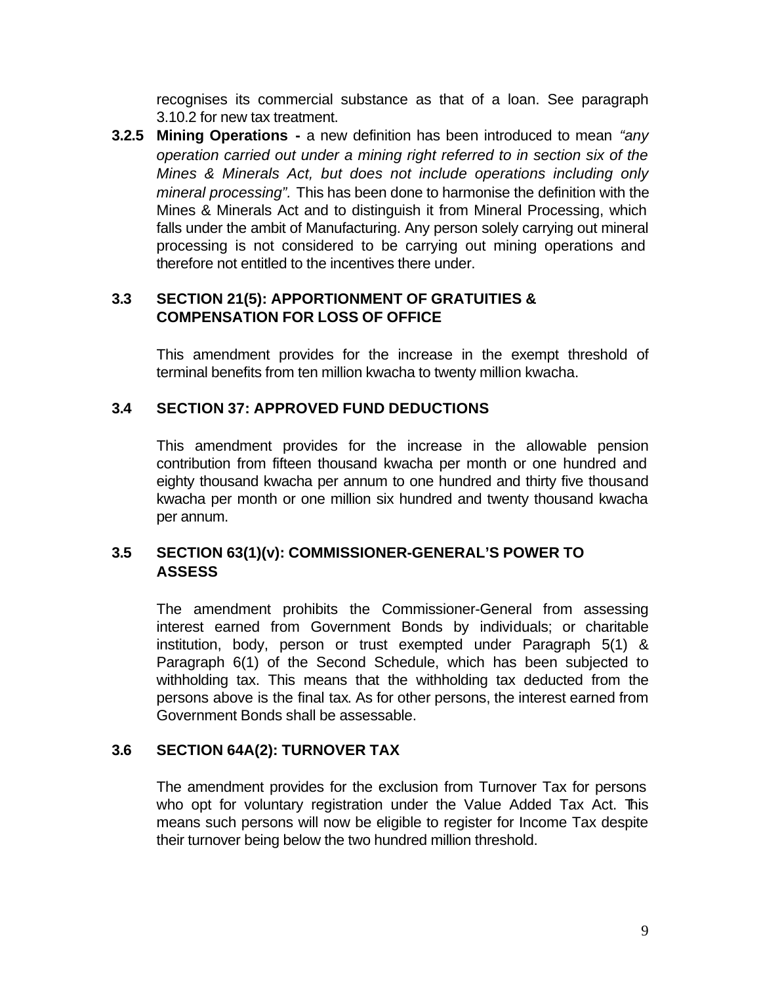recognises its commercial substance as that of a loan. See paragraph 3.10.2 for new tax treatment.

**3.2.5 Mining Operations -** a new definition has been introduced to mean *"any operation carried out under a mining right referred to in section six of the Mines & Minerals Act, but does not include operations including only mineral processing".* This has been done to harmonise the definition with the Mines & Minerals Act and to distinguish it from Mineral Processing, which falls under the ambit of Manufacturing. Any person solely carrying out mineral processing is not considered to be carrying out mining operations and therefore not entitled to the incentives there under.

## **3.3 SECTION 21(5): APPORTIONMENT OF GRATUITIES & COMPENSATION FOR LOSS OF OFFICE**

This amendment provides for the increase in the exempt threshold of terminal benefits from ten million kwacha to twenty million kwacha.

#### **3.4 SECTION 37: APPROVED FUND DEDUCTIONS**

This amendment provides for the increase in the allowable pension contribution from fifteen thousand kwacha per month or one hundred and eighty thousand kwacha per annum to one hundred and thirty five thousand kwacha per month or one million six hundred and twenty thousand kwacha per annum.

## **3.5 SECTION 63(1)(v): COMMISSIONER-GENERAL'S POWER TO ASSESS**

The amendment prohibits the Commissioner-General from assessing interest earned from Government Bonds by individuals; or charitable institution, body, person or trust exempted under Paragraph 5(1) & Paragraph 6(1) of the Second Schedule, which has been subjected to withholding tax. This means that the withholding tax deducted from the persons above is the final tax. As for other persons, the interest earned from Government Bonds shall be assessable.

## **3.6 SECTION 64A(2): TURNOVER TAX**

The amendment provides for the exclusion from Turnover Tax for persons who opt for voluntary registration under the Value Added Tax Act. This means such persons will now be eligible to register for Income Tax despite their turnover being below the two hundred million threshold.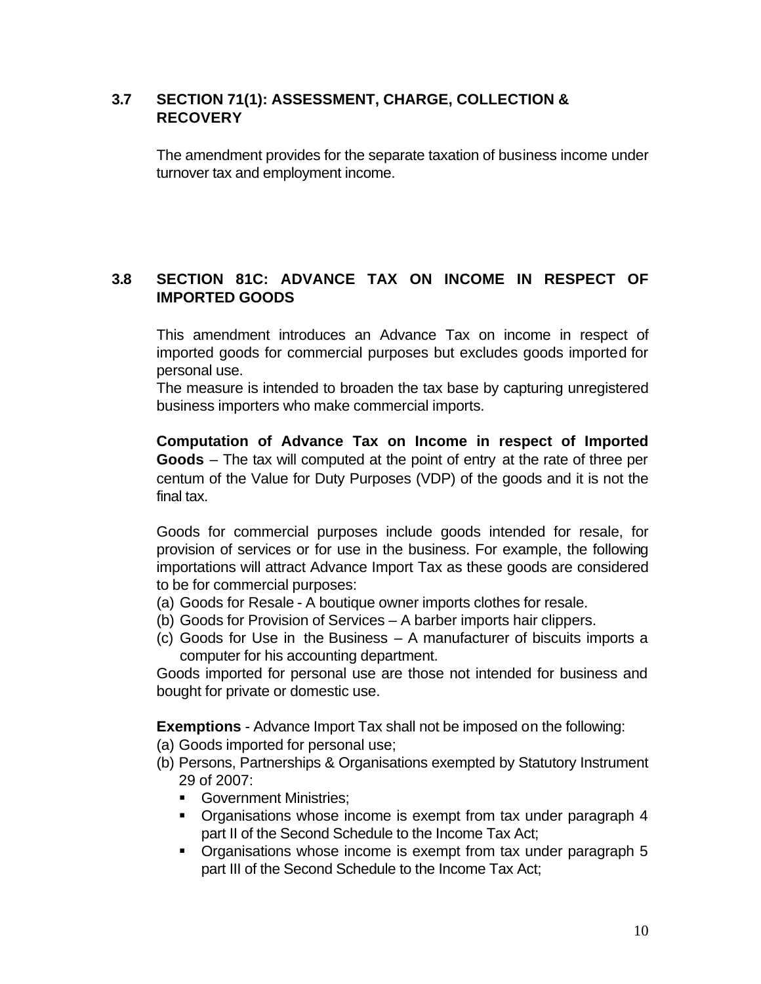## **3.7 SECTION 71(1): ASSESSMENT, CHARGE, COLLECTION & RECOVERY**

The amendment provides for the separate taxation of business income under turnover tax and employment income.

## **3.8 SECTION 81C: ADVANCE TAX ON INCOME IN RESPECT OF IMPORTED GOODS**

This amendment introduces an Advance Tax on income in respect of imported goods for commercial purposes but excludes goods imported for personal use.

The measure is intended to broaden the tax base by capturing unregistered business importers who make commercial imports.

**Computation of Advance Tax on Income in respect of Imported Goods** – The tax will computed at the point of entry at the rate of three per centum of the Value for Duty Purposes (VDP) of the goods and it is not the final tax.

Goods for commercial purposes include goods intended for resale, for provision of services or for use in the business. For example, the following importations will attract Advance Import Tax as these goods are considered to be for commercial purposes:

- (a) Goods for Resale A boutique owner imports clothes for resale.
- (b) Goods for Provision of Services A barber imports hair clippers.
- (c) Goods for Use in the Business A manufacturer of biscuits imports a computer for his accounting department.

Goods imported for personal use are those not intended for business and bought for private or domestic use.

**Exemptions** - Advance Import Tax shall not be imposed on the following:

- (a) Goods imported for personal use;
- (b) Persons, Partnerships & Organisations exempted by Statutory Instrument 29 of 2007:
	- **Government Ministries:**
	- Organisations whose income is exempt from tax under paragraph 4 part II of the Second Schedule to the Income Tax Act;
	- Organisations whose income is exempt from tax under paragraph 5 part III of the Second Schedule to the Income Tax Act;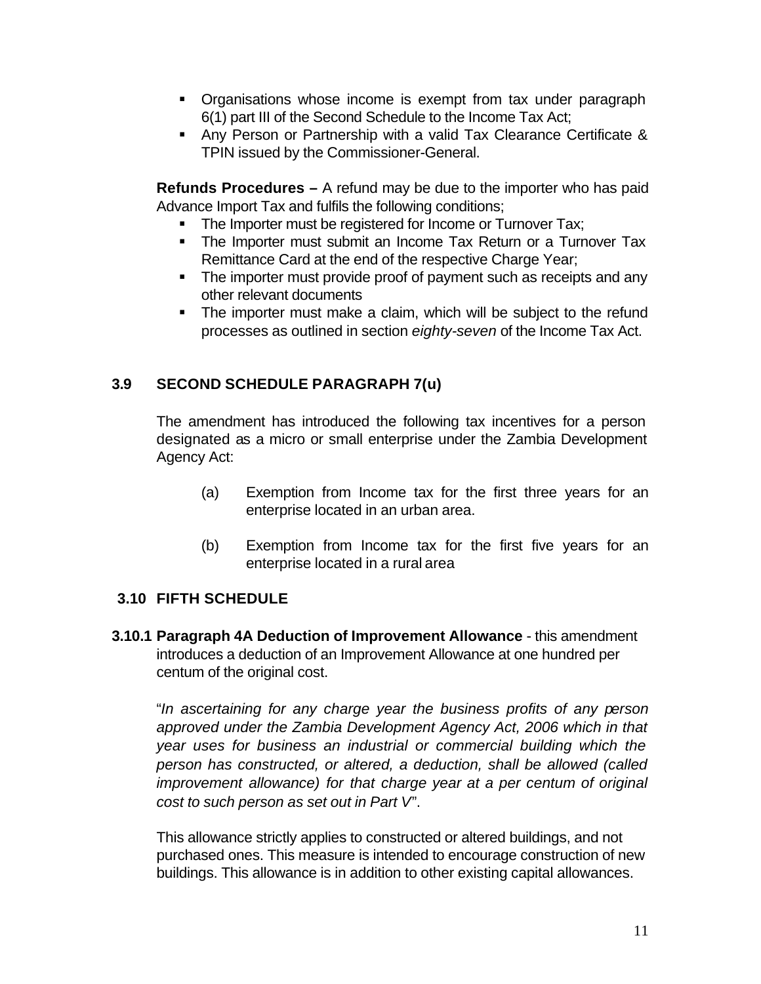- Organisations whose income is exempt from tax under paragraph 6(1) part III of the Second Schedule to the Income Tax Act;
- **Any Person or Partnership with a valid Tax Clearance Certificate &** TPIN issued by the Commissioner-General.

**Refunds Procedures –** A refund may be due to the importer who has paid Advance Import Tax and fulfils the following conditions;

- The Importer must be registered for Income or Turnover Tax;
- The Importer must submit an Income Tax Return or a Turnover Tax Remittance Card at the end of the respective Charge Year;
- The importer must provide proof of payment such as receipts and any other relevant documents
- The importer must make a claim, which will be subject to the refund processes as outlined in section *eighty-seven* of the Income Tax Act.

## **3.9 SECOND SCHEDULE PARAGRAPH 7(u)**

The amendment has introduced the following tax incentives for a person designated as a micro or small enterprise under the Zambia Development Agency Act:

- (a) Exemption from Income tax for the first three years for an enterprise located in an urban area.
- (b) Exemption from Income tax for the first five years for an enterprise located in a rural area

## **3.10 FIFTH SCHEDULE**

**3.10.1 Paragraph 4A Deduction of Improvement Allowance** - this amendment introduces a deduction of an Improvement Allowance at one hundred per centum of the original cost.

"*In ascertaining for any charge year the business profits of any person approved under the Zambia Development Agency Act, 2006 which in that year uses for business an industrial or commercial building which the person has constructed, or altered, a deduction, shall be allowed (called improvement allowance) for that charge year at a per centum of original cost to such person as set out in Part V*".

This allowance strictly applies to constructed or altered buildings, and not purchased ones. This measure is intended to encourage construction of new buildings. This allowance is in addition to other existing capital allowances.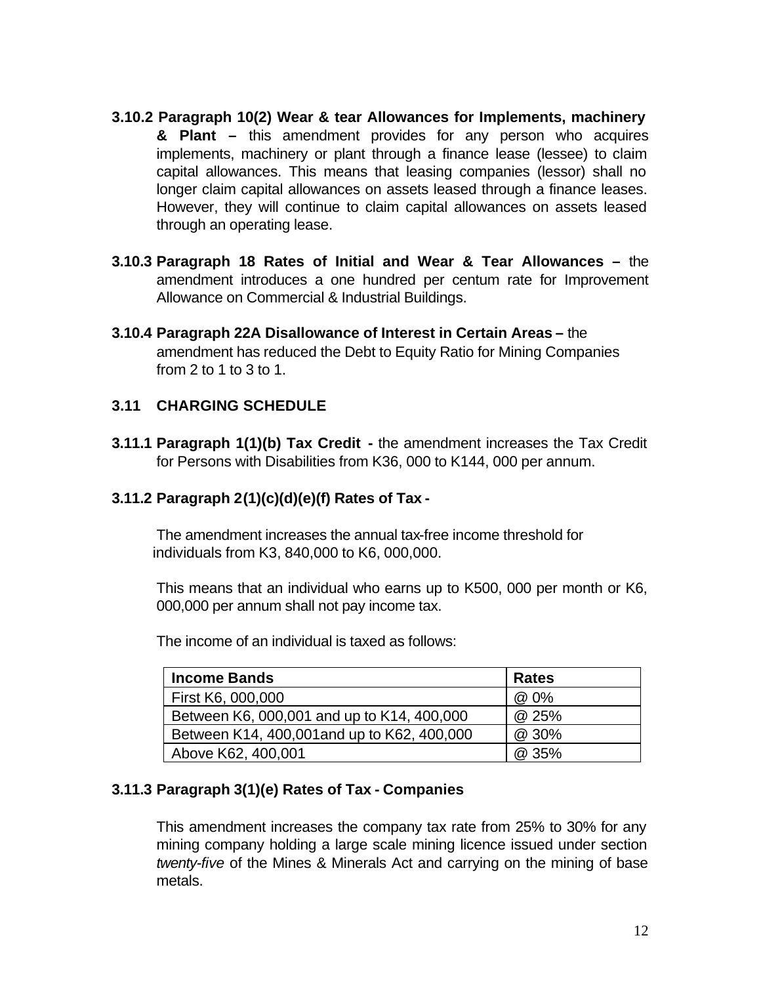- **3.10.2 Paragraph 10(2) Wear & tear Allowances for Implements, machinery & Plant –** this amendment provides for any person who acquires implements, machinery or plant through a finance lease (lessee) to claim capital allowances. This means that leasing companies (lessor) shall no longer claim capital allowances on assets leased through a finance leases. However, they will continue to claim capital allowances on assets leased through an operating lease.
- **3.10.3 Paragraph 18 Rates of Initial and Wear & Tear Allowances –** the amendment introduces a one hundred per centum rate for Improvement Allowance on Commercial & Industrial Buildings.
- **3.10.4 Paragraph 22A Disallowance of Interest in Certain Areas –** the amendment has reduced the Debt to Equity Ratio for Mining Companies from 2 to 1 to 3 to 1.

## **3.11 CHARGING SCHEDULE**

**3.11.1 Paragraph 1(1)(b) Tax Credit -** the amendment increases the Tax Credit for Persons with Disabilities from K36, 000 to K144, 000 per annum.

## **3.11.2 Paragraph 2(1)(c)(d)(e)(f) Rates of Tax -**

The amendment increases the annual tax-free income threshold for individuals from K3, 840,000 to K6, 000,000.

This means that an individual who earns up to K500, 000 per month or K6, 000,000 per annum shall not pay income tax.

The income of an individual is taxed as follows:

| <b>Income Bands</b>                         | <b>Rates</b> |
|---------------------------------------------|--------------|
| First K6, 000,000                           | @ 0%         |
| Between K6, 000,001 and up to K14, 400,000  | @ 25%        |
| Between K14, 400,001 and up to K62, 400,000 | @ 30%        |
| Above K62, 400,001                          | @ 35%        |

## **3.11.3 Paragraph 3(1)(e) Rates of Tax - Companies**

This amendment increases the company tax rate from 25% to 30% for any mining company holding a large scale mining licence issued under section *twenty-five* of the Mines & Minerals Act and carrying on the mining of base metals.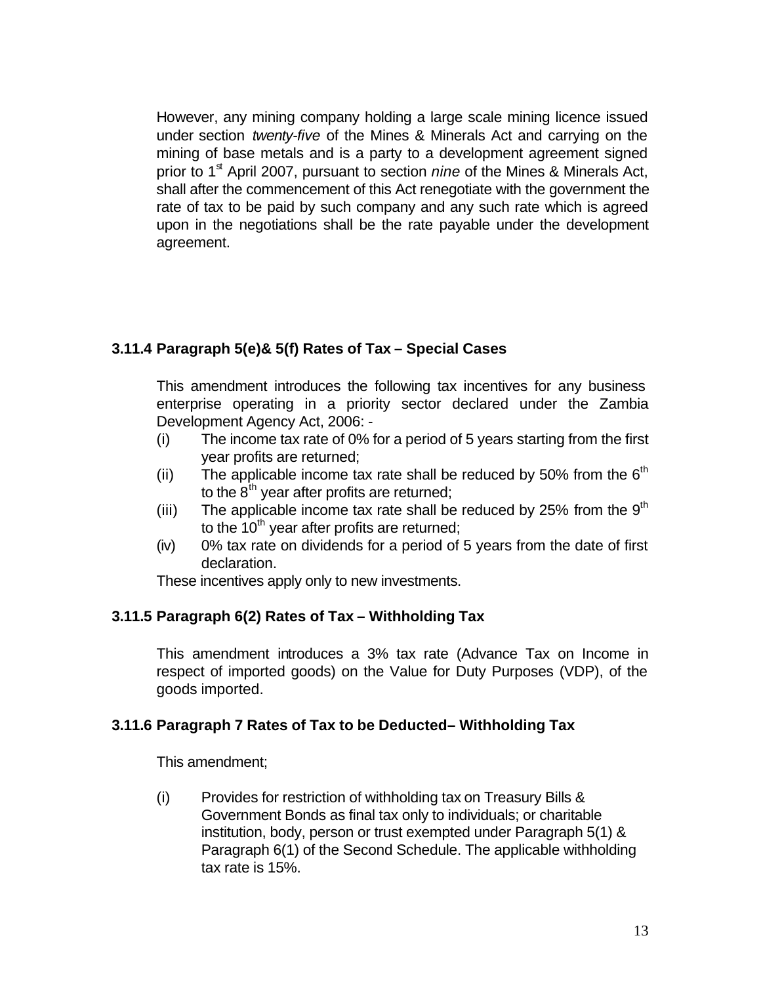However, any mining company holding a large scale mining licence issued under section *twenty-five* of the Mines & Minerals Act and carrying on the mining of base metals and is a party to a development agreement signed prior to 1<sup>st</sup> April 2007, pursuant to section *nine* of the Mines & Minerals Act, shall after the commencement of this Act renegotiate with the government the rate of tax to be paid by such company and any such rate which is agreed upon in the negotiations shall be the rate payable under the development agreement.

## **3.11.4 Paragraph 5(e)& 5(f) Rates of Tax – Special Cases**

This amendment introduces the following tax incentives for any business enterprise operating in a priority sector declared under the Zambia Development Agency Act, 2006: -

- (i) The income tax rate of 0% for a period of 5 years starting from the first year profits are returned;
- (ii) The applicable income tax rate shall be reduced by 50% from the  $6<sup>th</sup>$ to the  $8<sup>th</sup>$  year after profits are returned;
- (iii) The applicable income tax rate shall be reduced by 25% from the  $9<sup>th</sup>$ to the  $10^{th}$  year after profits are returned;
- (iv) 0% tax rate on dividends for a period of 5 years from the date of first declaration.

These incentives apply only to new investments.

## **3.11.5 Paragraph 6(2) Rates of Tax – Withholding Tax**

This amendment introduces a 3% tax rate (Advance Tax on Income in respect of imported goods) on the Value for Duty Purposes (VDP), of the goods imported.

## **3.11.6 Paragraph 7 Rates of Tax to be Deducted– Withholding Tax**

This amendment;

(i) Provides for restriction of withholding tax on Treasury Bills & Government Bonds as final tax only to individuals; or charitable institution, body, person or trust exempted under Paragraph 5(1) & Paragraph 6(1) of the Second Schedule. The applicable withholding tax rate is 15%.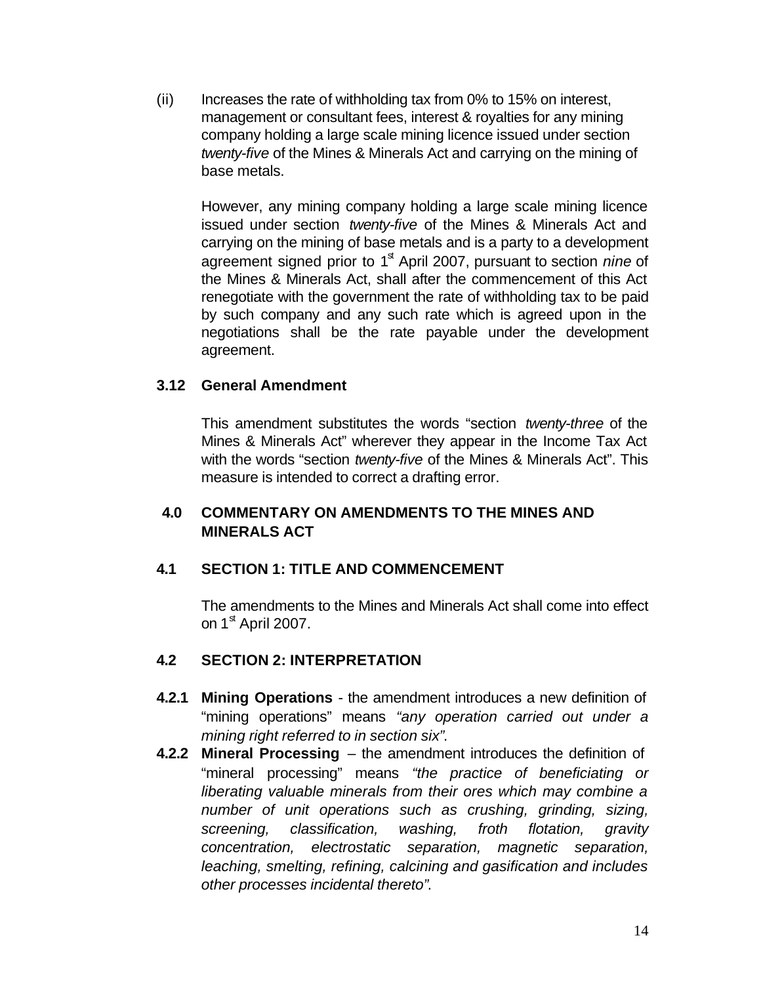$(i)$  Increases the rate of withholding tax from 0% to 15% on interest, management or consultant fees, interest & royalties for any mining company holding a large scale mining licence issued under section *twenty-five* of the Mines & Minerals Act and carrying on the mining of base metals.

However, any mining company holding a large scale mining licence issued under section *twenty-five* of the Mines & Minerals Act and carrying on the mining of base metals and is a party to a development agreement signed prior to 1<sup>st</sup> April 2007, pursuant to section *nine* of the Mines & Minerals Act, shall after the commencement of this Act renegotiate with the government the rate of withholding tax to be paid by such company and any such rate which is agreed upon in the negotiations shall be the rate payable under the development agreement.

#### **3.12 General Amendment**

This amendment substitutes the words "section *twenty-three* of the Mines & Minerals Act" wherever they appear in the Income Tax Act with the words "section *twenty-five* of the Mines & Minerals Act". This measure is intended to correct a drafting error.

## **4.0 COMMENTARY ON AMENDMENTS TO THE MINES AND MINERALS ACT**

## **4.1 SECTION 1: TITLE AND COMMENCEMENT**

The amendments to the Mines and Minerals Act shall come into effect on  $1^{\text{st}}$  April 2007.

#### **4.2 SECTION 2: INTERPRETATION**

- **4.2.1 Mining Operations** the amendment introduces a new definition of "mining operations" means *"any operation carried out under a mining right referred to in section six"*.
- **4.2.2 Mineral Processing**  the amendment introduces the definition of "mineral processing" means *"the practice of beneficiating or liberating valuable minerals from their ores which may combine a number of unit operations such as crushing, grinding, sizing, screening, classification, washing, froth flotation, gravity concentration, electrostatic separation, magnetic separation, leaching, smelting, refining, calcining and gasification and includes other processes incidental thereto"*.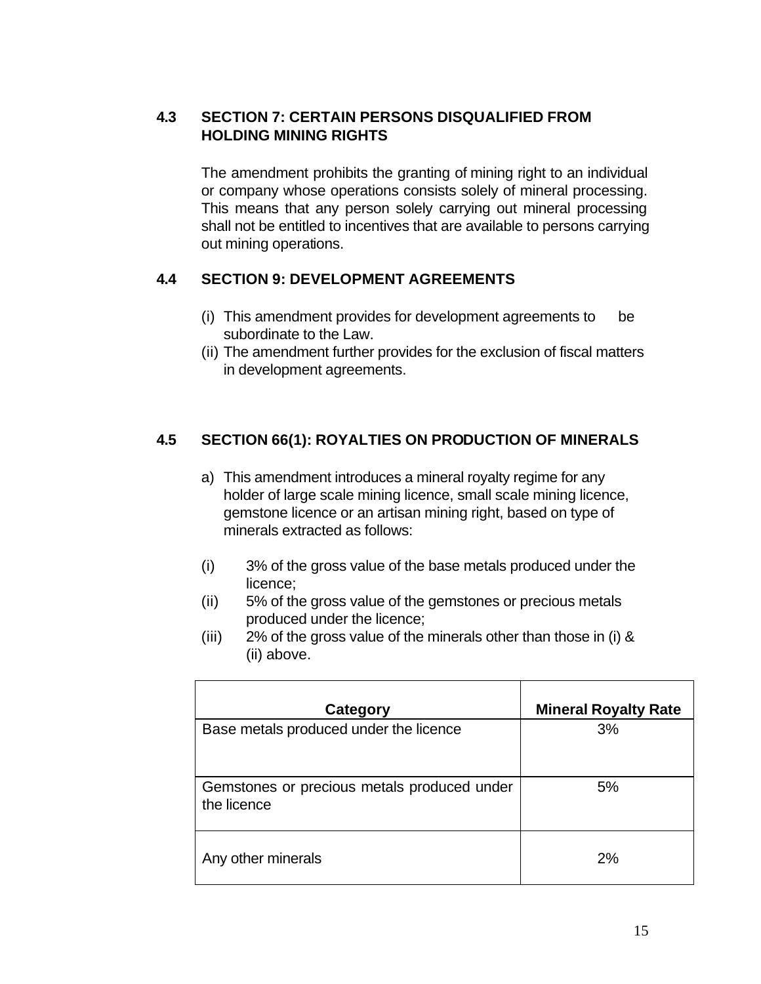## **4.3 SECTION 7: CERTAIN PERSONS DISQUALIFIED FROM HOLDING MINING RIGHTS**

The amendment prohibits the granting of mining right to an individual or company whose operations consists solely of mineral processing. This means that any person solely carrying out mineral processing shall not be entitled to incentives that are available to persons carrying out mining operations.

## **4.4 SECTION 9: DEVELOPMENT AGREEMENTS**

- (i) This amendment provides for development agreements to be subordinate to the Law.
- (ii) The amendment further provides for the exclusion of fiscal matters in development agreements.

#### **4.5 SECTION 66(1): ROYALTIES ON PRODUCTION OF MINERALS**

- a) This amendment introduces a mineral royalty regime for any holder of large scale mining licence, small scale mining licence, gemstone licence or an artisan mining right, based on type of minerals extracted as follows:
- (i) 3% of the gross value of the base metals produced under the licence;
- (ii) 5% of the gross value of the gemstones or precious metals produced under the licence;
- (iii) 2% of the gross value of the minerals other than those in (i) & (ii) above.

| Category                                                   | <b>Mineral Royalty Rate</b> |
|------------------------------------------------------------|-----------------------------|
| Base metals produced under the licence                     | 3%                          |
| Gemstones or precious metals produced under<br>the licence | 5%                          |
| Any other minerals                                         | 2%                          |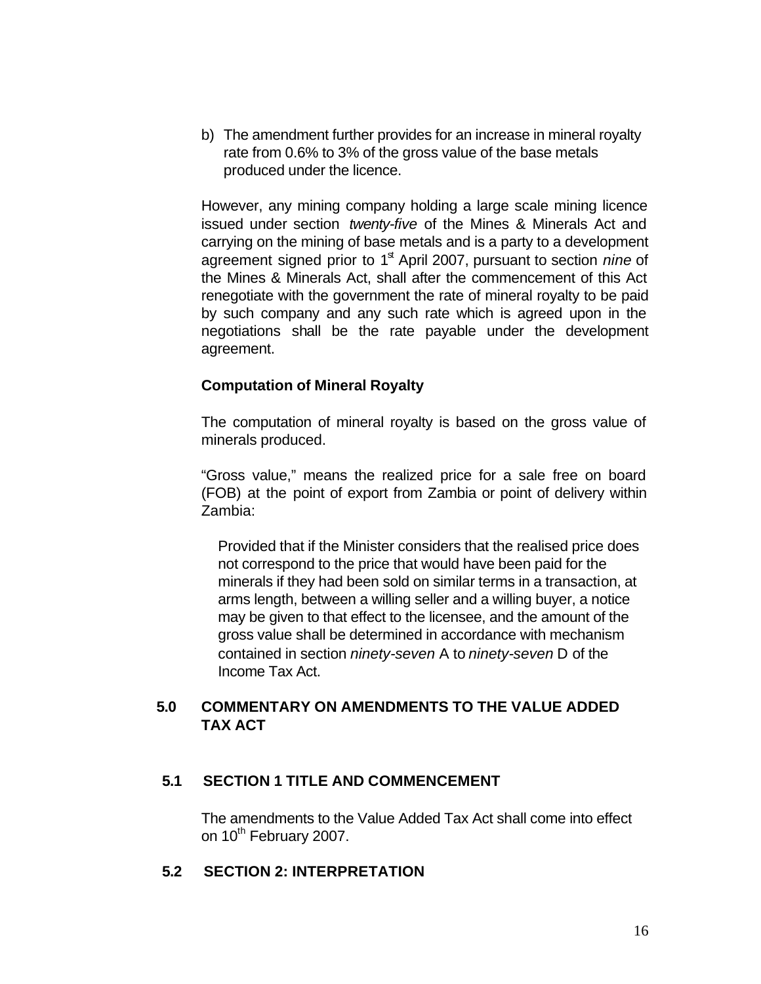b) The amendment further provides for an increase in mineral royalty rate from 0.6% to 3% of the gross value of the base metals produced under the licence.

However, any mining company holding a large scale mining licence issued under section *twenty-five* of the Mines & Minerals Act and carrying on the mining of base metals and is a party to a development agreement signed prior to 1<sup>st</sup> April 2007, pursuant to section *nine* of the Mines & Minerals Act, shall after the commencement of this Act renegotiate with the government the rate of mineral royalty to be paid by such company and any such rate which is agreed upon in the negotiations shall be the rate payable under the development agreement.

#### **Computation of Mineral Royalty**

The computation of mineral royalty is based on the gross value of minerals produced.

"Gross value," means the realized price for a sale free on board (FOB) at the point of export from Zambia or point of delivery within Zambia:

Provided that if the Minister considers that the realised price does not correspond to the price that would have been paid for the minerals if they had been sold on similar terms in a transaction, at arms length, between a willing seller and a willing buyer, a notice may be given to that effect to the licensee, and the amount of the gross value shall be determined in accordance with mechanism contained in section *ninety-seven* A to *ninety-seven* D of the Income Tax Act.

#### **5.0 COMMENTARY ON AMENDMENTS TO THE VALUE ADDED TAX ACT**

#### **5.1 SECTION 1 TITLE AND COMMENCEMENT**

The amendments to the Value Added Tax Act shall come into effect on 10<sup>th</sup> February 2007.

#### **5.2 SECTION 2: INTERPRETATION**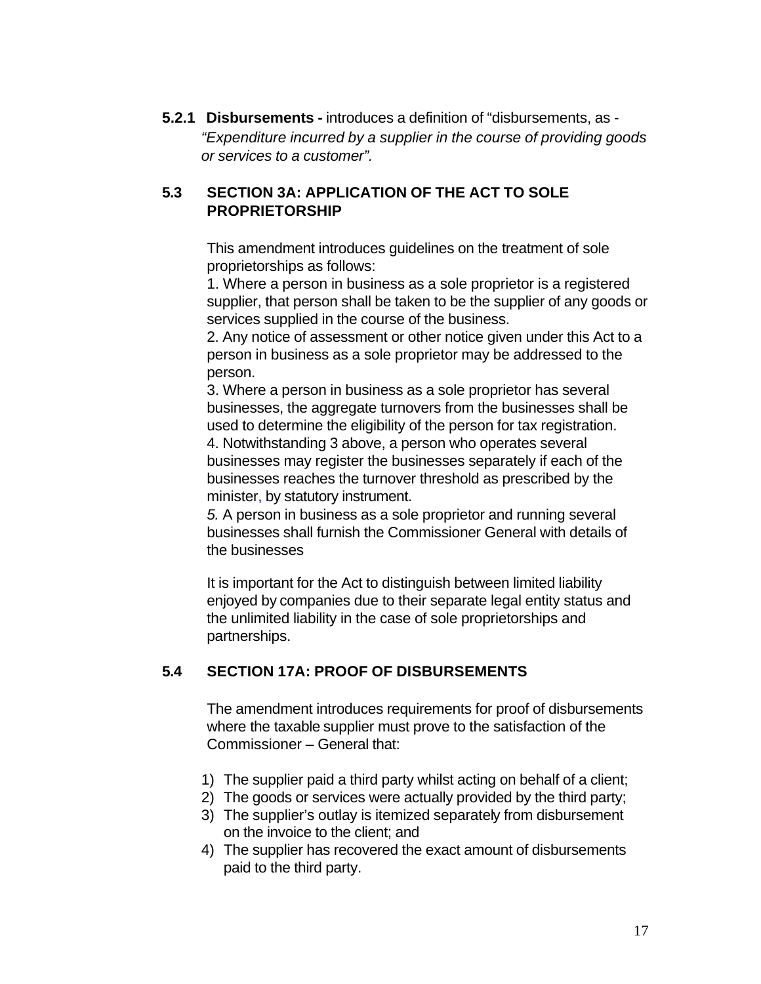**5.2.1 Disbursements -** introduces a definition of "disbursements, as - *"Expenditure incurred by a supplier in the course of providing goods or services to a customer".*

## **5.3 SECTION 3A: APPLICATION OF THE ACT TO SOLE PROPRIETORSHIP**

This amendment introduces guidelines on the treatment of sole proprietorships as follows:

1. Where a person in business as a sole proprietor is a registered supplier, that person shall be taken to be the supplier of any goods or services supplied in the course of the business.

2. Any notice of assessment or other notice given under this Act to a person in business as a sole proprietor may be addressed to the person.

3. Where a person in business as a sole proprietor has several businesses, the aggregate turnovers from the businesses shall be used to determine the eligibility of the person for tax registration. 4. Notwithstanding 3 above, a person who operates several

businesses may register the businesses separately if each of the businesses reaches the turnover threshold as prescribed by the minister, by statutory instrument.

*5.* A person in business as a sole proprietor and running several businesses shall furnish the Commissioner General with details of the businesses

It is important for the Act to distinguish between limited liability enjoyed by companies due to their separate legal entity status and the unlimited liability in the case of sole proprietorships and partnerships.

## **5.4 SECTION 17A: PROOF OF DISBURSEMENTS**

The amendment introduces requirements for proof of disbursements where the taxable supplier must prove to the satisfaction of the Commissioner – General that:

- 1) The supplier paid a third party whilst acting on behalf of a client;
- 2) The goods or services were actually provided by the third party;
- 3) The supplier's outlay is itemized separately from disbursement on the invoice to the client; and
- 4) The supplier has recovered the exact amount of disbursements paid to the third party.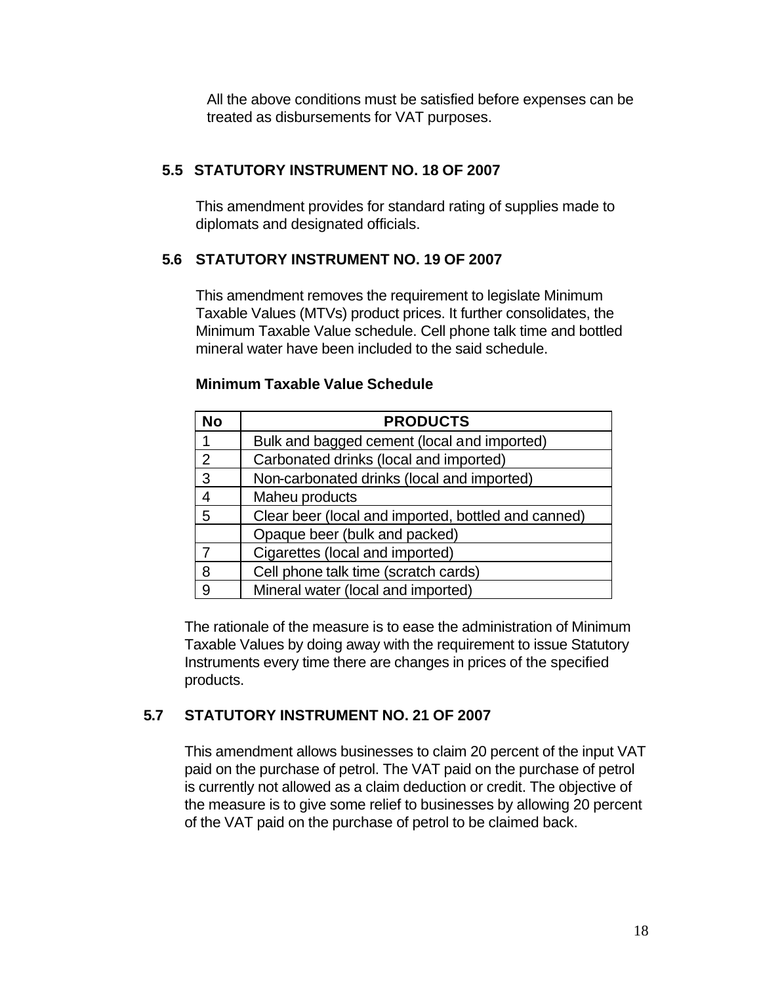All the above conditions must be satisfied before expenses can be treated as disbursements for VAT purposes.

#### **5.5 STATUTORY INSTRUMENT NO. 18 OF 2007**

This amendment provides for standard rating of supplies made to diplomats and designated officials.

## **5.6 STATUTORY INSTRUMENT NO. 19 OF 2007**

This amendment removes the requirement to legislate Minimum Taxable Values (MTVs) product prices. It further consolidates, the Minimum Taxable Value schedule. Cell phone talk time and bottled mineral water have been included to the said schedule.

| <b>No</b>      | <b>PRODUCTS</b>                                     |
|----------------|-----------------------------------------------------|
| 1              | Bulk and bagged cement (local and imported)         |
| 2              | Carbonated drinks (local and imported)              |
| 3              | Non-carbonated drinks (local and imported)          |
| $\overline{4}$ | Maheu products                                      |
| 5              | Clear beer (local and imported, bottled and canned) |
|                | Opaque beer (bulk and packed)                       |
| 7              | Cigarettes (local and imported)                     |
| 8              | Cell phone talk time (scratch cards)                |
| 9              | Mineral water (local and imported)                  |

#### **Minimum Taxable Value Schedule**

The rationale of the measure is to ease the administration of Minimum Taxable Values by doing away with the requirement to issue Statutory Instruments every time there are changes in prices of the specified products.

## **5.7 STATUTORY INSTRUMENT NO. 21 OF 2007**

This amendment allows businesses to claim 20 percent of the input VAT paid on the purchase of petrol. The VAT paid on the purchase of petrol is currently not allowed as a claim deduction or credit. The objective of the measure is to give some relief to businesses by allowing 20 percent of the VAT paid on the purchase of petrol to be claimed back.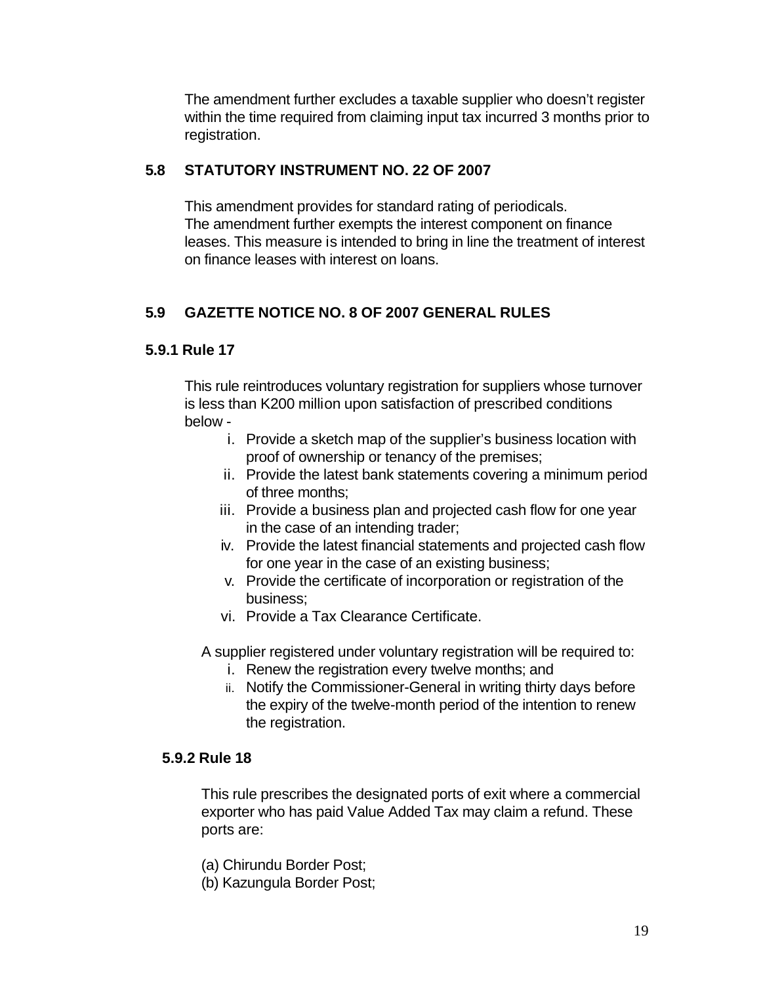The amendment further excludes a taxable supplier who doesn't register within the time required from claiming input tax incurred 3 months prior to registration.

## **5.8 STATUTORY INSTRUMENT NO. 22 OF 2007**

This amendment provides for standard rating of periodicals. The amendment further exempts the interest component on finance leases. This measure is intended to bring in line the treatment of interest on finance leases with interest on loans.

# **5.9 GAZETTE NOTICE NO. 8 OF 2007 GENERAL RULES**

## **5.9.1 Rule 17**

This rule reintroduces voluntary registration for suppliers whose turnover is less than K200 million upon satisfaction of prescribed conditions below -

- i. Provide a sketch map of the supplier's business location with proof of ownership or tenancy of the premises;
- ii. Provide the latest bank statements covering a minimum period of three months;
- iii. Provide a business plan and projected cash flow for one year in the case of an intending trader;
- iv. Provide the latest financial statements and projected cash flow for one year in the case of an existing business;
- v. Provide the certificate of incorporation or registration of the business;
- vi. Provide a Tax Clearance Certificate.

A supplier registered under voluntary registration will be required to:

- i. Renew the registration every twelve months; and
- ii. Notify the Commissioner-General in writing thirty days before the expiry of the twelve-month period of the intention to renew the registration.

## **5.9.2 Rule 18**

This rule prescribes the designated ports of exit where a commercial exporter who has paid Value Added Tax may claim a refund. These ports are:

- (a) Chirundu Border Post;
- (b) Kazungula Border Post;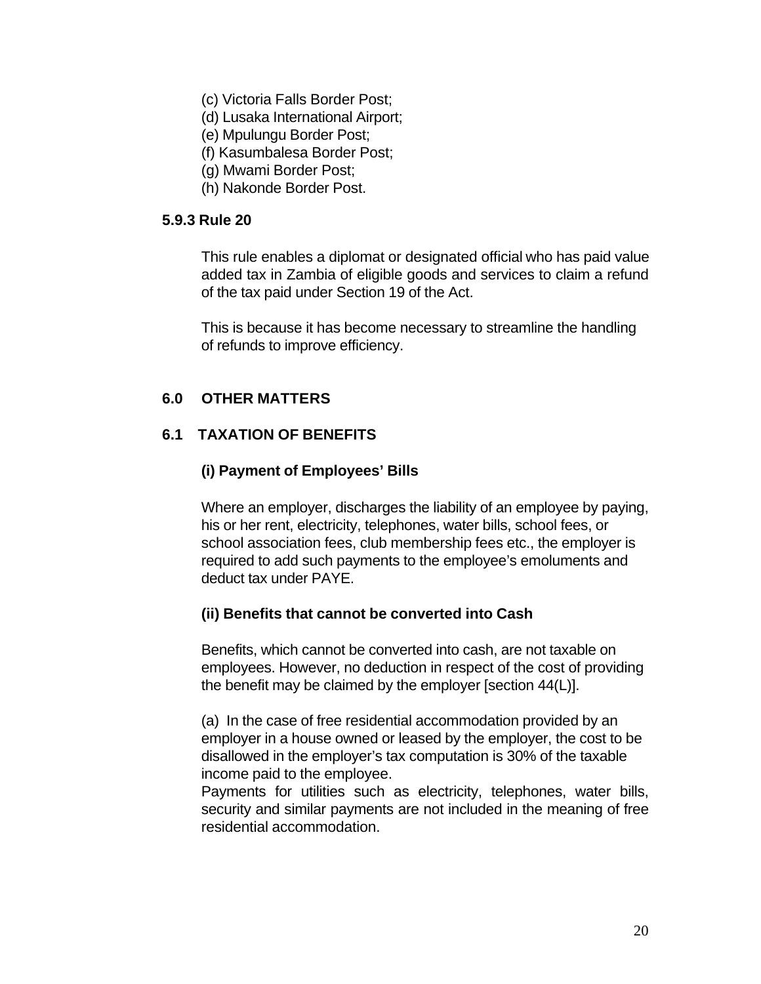- (c) Victoria Falls Border Post;
- (d) Lusaka International Airport;
- (e) Mpulungu Border Post;
- (f) Kasumbalesa Border Post;
- (g) Mwami Border Post;
- (h) Nakonde Border Post.

#### **5.9.3 Rule 20**

This rule enables a diplomat or designated official who has paid value added tax in Zambia of eligible goods and services to claim a refund of the tax paid under Section 19 of the Act.

This is because it has become necessary to streamline the handling of refunds to improve efficiency.

#### **6.0 OTHER MATTERS**

#### **6.1 TAXATION OF BENEFITS**

#### **(i) Payment of Employees' Bills**

Where an employer, discharges the liability of an employee by paying, his or her rent, electricity, telephones, water bills, school fees, or school association fees, club membership fees etc., the employer is required to add such payments to the employee's emoluments and deduct tax under PAYE.

#### **(ii) Benefits that cannot be converted into Cash**

Benefits, which cannot be converted into cash, are not taxable on employees. However, no deduction in respect of the cost of providing the benefit may be claimed by the employer [section 44(L)].

(a) In the case of free residential accommodation provided by an employer in a house owned or leased by the employer, the cost to be disallowed in the employer's tax computation is 30% of the taxable income paid to the employee.

Payments for utilities such as electricity, telephones, water bills, security and similar payments are not included in the meaning of free residential accommodation.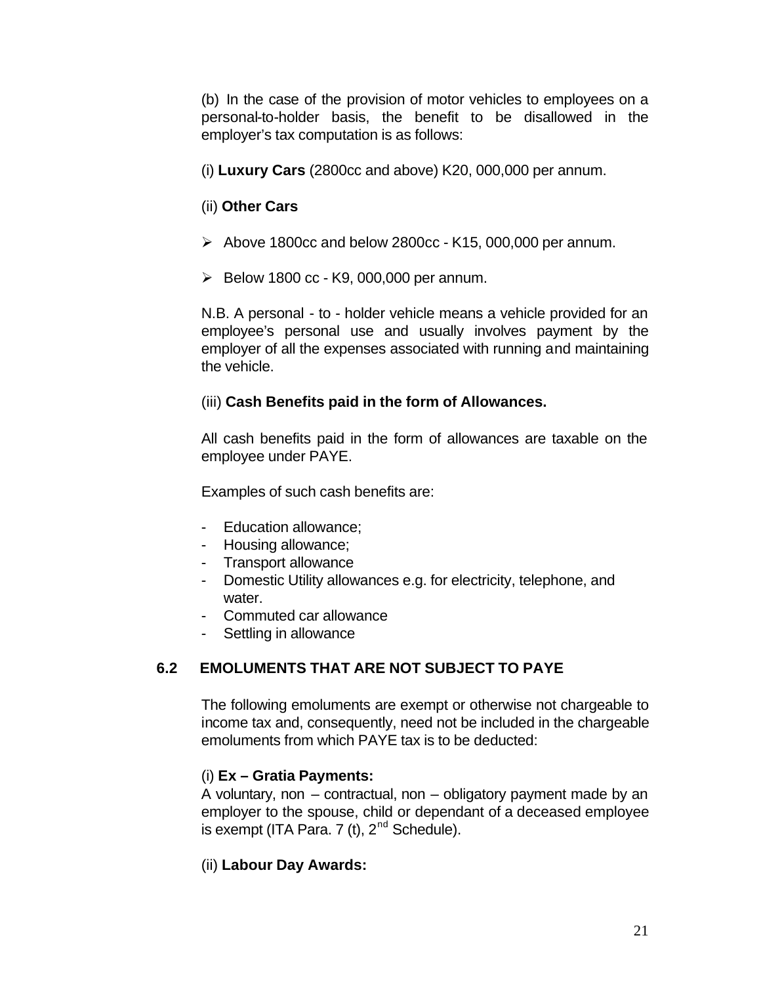(b) In the case of the provision of motor vehicles to employees on a personal-to-holder basis, the benefit to be disallowed in the employer's tax computation is as follows:

(i) **Luxury Cars** (2800cc and above) K20, 000,000 per annum.

#### (ii) **Other Cars**

- $\geq$  Above 1800cc and below 2800cc K15, 000,000 per annum.
- $\triangleright$  Below 1800 cc K9, 000,000 per annum.

N.B. A personal - to - holder vehicle means a vehicle provided for an employee's personal use and usually involves payment by the employer of all the expenses associated with running and maintaining the vehicle.

#### (iii) **Cash Benefits paid in the form of Allowances.**

All cash benefits paid in the form of allowances are taxable on the employee under PAYE.

Examples of such cash benefits are:

- Education allowance;
- Housing allowance;
- Transport allowance
- Domestic Utility allowances e.g. for electricity, telephone, and water
- Commuted car allowance
- Settling in allowance

## **6.2 EMOLUMENTS THAT ARE NOT SUBJECT TO PAYE**

The following emoluments are exempt or otherwise not chargeable to income tax and, consequently, need not be included in the chargeable emoluments from which PAYE tax is to be deducted:

## (i) **Ex – Gratia Payments:**

A voluntary, non – contractual, non – obligatory payment made by an employer to the spouse, child or dependant of a deceased employee is exempt (ITA Para. 7 (t),  $2<sup>nd</sup>$  Schedule).

## (ii) **Labour Day Awards:**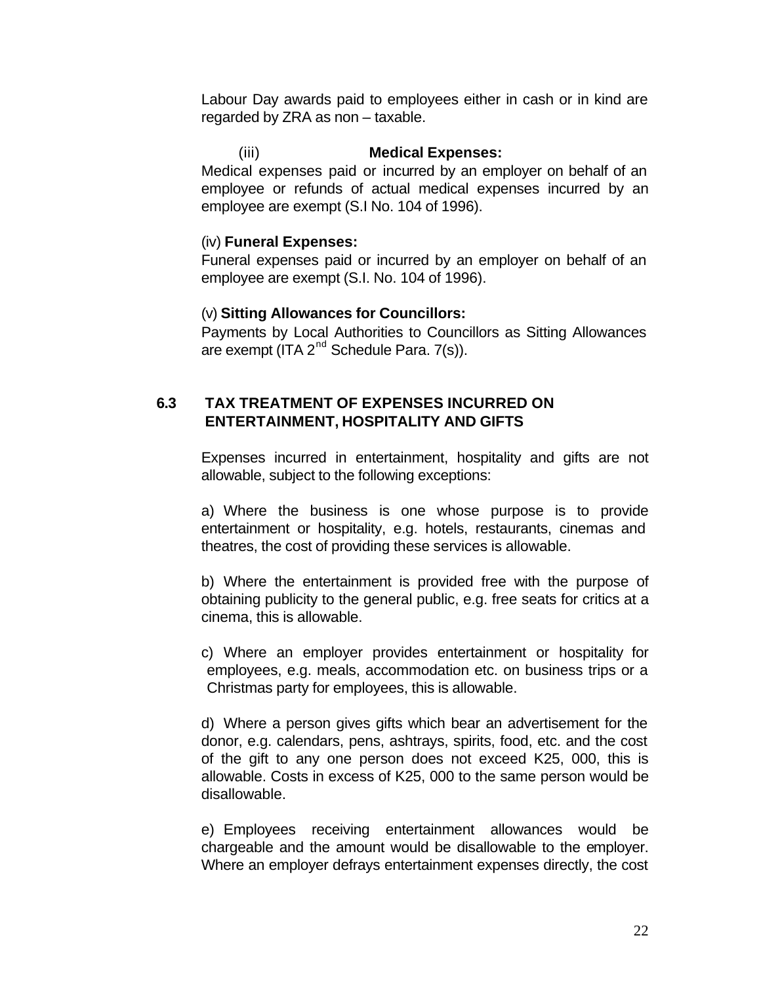Labour Day awards paid to employees either in cash or in kind are regarded by ZRA as non – taxable.

# (iii) **Medical Expenses:**

Medical expenses paid or incurred by an employer on behalf of an employee or refunds of actual medical expenses incurred by an employee are exempt (S.I No. 104 of 1996).

#### (iv) **Funeral Expenses:**

Funeral expenses paid or incurred by an employer on behalf of an employee are exempt (S.I. No. 104 of 1996).

#### (v) **Sitting Allowances for Councillors:**

Payments by Local Authorities to Councillors as Sitting Allowances are exempt (ITA 2<sup>nd</sup> Schedule Para, 7(s)).

## **6.3 TAX TREATMENT OF EXPENSES INCURRED ON ENTERTAINMENT, HOSPITALITY AND GIFTS**

Expenses incurred in entertainment, hospitality and gifts are not allowable, subject to the following exceptions:

a) Where the business is one whose purpose is to provide entertainment or hospitality, e.g. hotels, restaurants, cinemas and theatres, the cost of providing these services is allowable.

b) Where the entertainment is provided free with the purpose of obtaining publicity to the general public, e.g. free seats for critics at a cinema, this is allowable.

c) Where an employer provides entertainment or hospitality for employees, e.g. meals, accommodation etc. on business trips or a Christmas party for employees, this is allowable.

d) Where a person gives gifts which bear an advertisement for the donor, e.g. calendars, pens, ashtrays, spirits, food, etc. and the cost of the gift to any one person does not exceed K25, 000, this is allowable. Costs in excess of K25, 000 to the same person would be disallowable.

e) Employees receiving entertainment allowances would be chargeable and the amount would be disallowable to the employer. Where an employer defrays entertainment expenses directly, the cost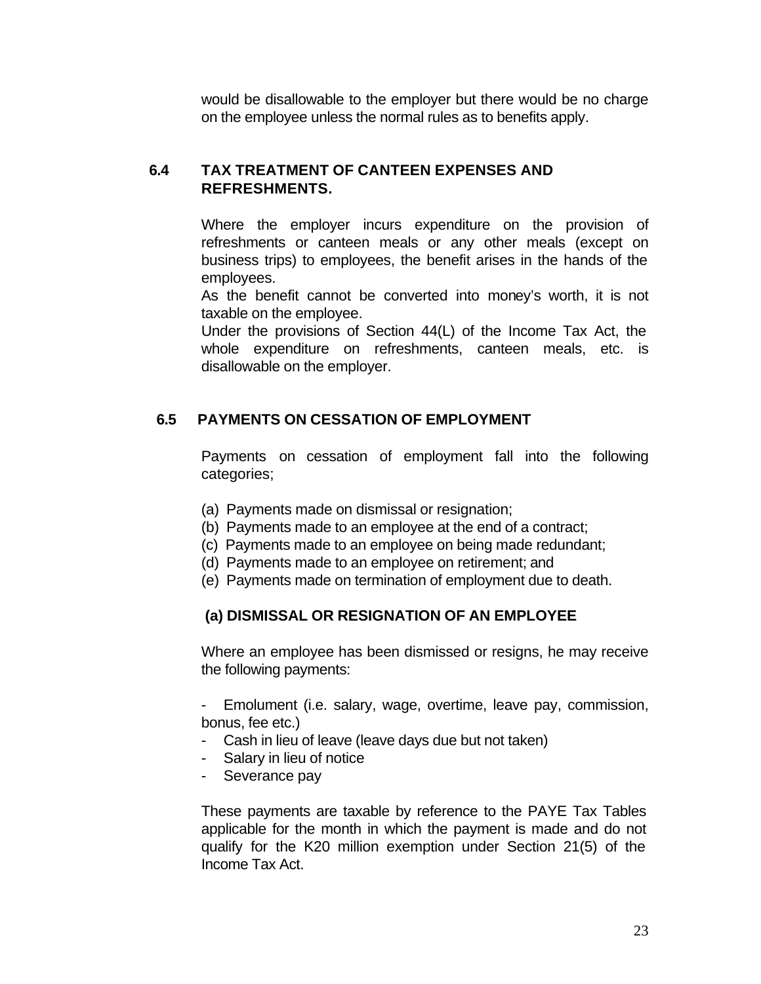would be disallowable to the employer but there would be no charge on the employee unless the normal rules as to benefits apply.

#### **6.4 TAX TREATMENT OF CANTEEN EXPENSES AND REFRESHMENTS.**

Where the employer incurs expenditure on the provision of refreshments or canteen meals or any other meals (except on business trips) to employees, the benefit arises in the hands of the employees.

As the benefit cannot be converted into money's worth, it is not taxable on the employee.

Under the provisions of Section 44(L) of the Income Tax Act, the whole expenditure on refreshments, canteen meals, etc. is disallowable on the employer.

#### **6.5 PAYMENTS ON CESSATION OF EMPLOYMENT**

Payments on cessation of employment fall into the following categories;

- (a) Payments made on dismissal or resignation;
- (b) Payments made to an employee at the end of a contract;
- (c) Payments made to an employee on being made redundant;
- (d) Payments made to an employee on retirement; and
- (e) Payments made on termination of employment due to death.

#### **(a) DISMISSAL OR RESIGNATION OF AN EMPLOYEE**

Where an employee has been dismissed or resigns, he may receive the following payments:

Emolument (i.e. salary, wage, overtime, leave pay, commission, bonus, fee etc.)

- Cash in lieu of leave (leave days due but not taken)
- Salary in lieu of notice
- Severance pay

These payments are taxable by reference to the PAYE Tax Tables applicable for the month in which the payment is made and do not qualify for the K20 million exemption under Section 21(5) of the Income Tax Act.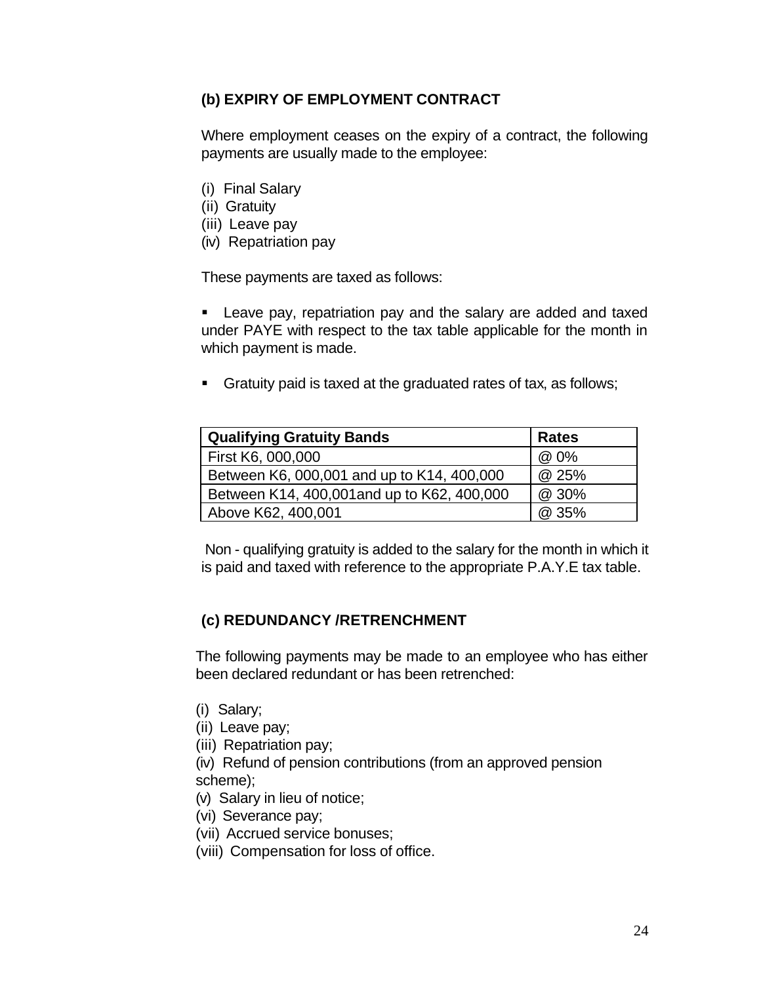## **(b) EXPIRY OF EMPLOYMENT CONTRACT**

Where employment ceases on the expiry of a contract, the following payments are usually made to the employee:

- (i) Final Salary
- (ii) Gratuity
- (iii) Leave pay
- (iv) Repatriation pay

These payments are taxed as follows:

**EXTER** Leave pay, repatriation pay and the salary are added and taxed under PAYE with respect to the tax table applicable for the month in which payment is made.

**•** Gratuity paid is taxed at the graduated rates of tax, as follows;

| <b>Qualifying Gratuity Bands</b>            | <b>Rates</b> |
|---------------------------------------------|--------------|
| First K6, 000,000                           | @ 0%         |
| Between K6, 000,001 and up to K14, 400,000  | @ 25%        |
| Between K14, 400,001 and up to K62, 400,000 | @ 30%        |
| Above K62, 400,001                          | @ 35%        |

 Non - qualifying gratuity is added to the salary for the month in which it is paid and taxed with reference to the appropriate P.A.Y.E tax table.

#### **(c) REDUNDANCY /RETRENCHMENT**

The following payments may be made to an employee who has either been declared redundant or has been retrenched:

- (i) Salary;
- (ii) Leave pay;
- (iii) Repatriation pay;
- (iv) Refund of pension contributions (from an approved pension scheme);
- (v) Salary in lieu of notice;
- (vi) Severance pay;
- (vii) Accrued service bonuses;
- (viii) Compensation for loss of office.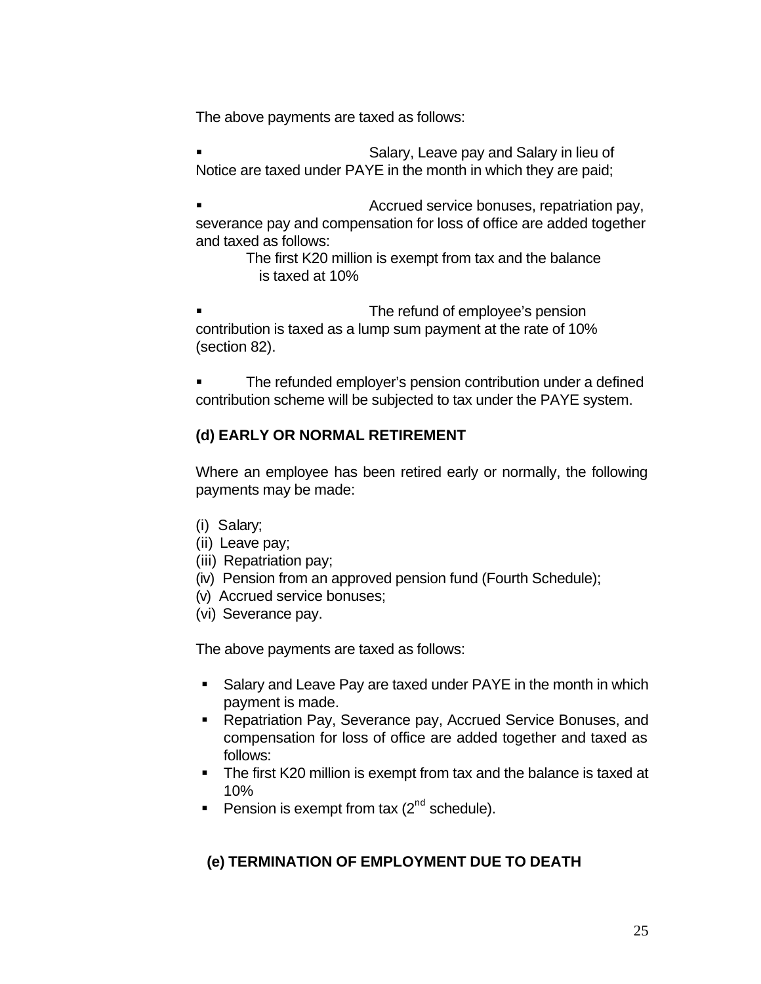The above payments are taxed as follows:

ß Salary, Leave pay and Salary in lieu of Notice are taxed under PAYE in the month in which they are paid;

ß Accrued service bonuses, repatriation pay, severance pay and compensation for loss of office are added together and taxed as follows:

The first K20 million is exempt from tax and the balance is taxed at 10%

The refund of employee's pension contribution is taxed as a lump sum payment at the rate of 10% (section 82).

ß The refunded employer's pension contribution under a defined contribution scheme will be subjected to tax under the PAYE system.

## **(d) EARLY OR NORMAL RETIREMENT**

Where an employee has been retired early or normally, the following payments may be made:

- (i) Salary;
- (ii) Leave pay;
- (iii) Repatriation pay;
- (iv) Pension from an approved pension fund (Fourth Schedule);
- (v) Accrued service bonuses;
- (vi) Severance pay.

The above payments are taxed as follows:

- Salary and Leave Pay are taxed under PAYE in the month in which payment is made.
- **Repatriation Pay, Severance pay, Accrued Service Bonuses, and** compensation for loss of office are added together and taxed as follows:
- The first K20 million is exempt from tax and the balance is taxed at 10%
- Pension is exempt from tax  $(2^{nd}$  schedule).

## **(e) TERMINATION OF EMPLOYMENT DUE TO DEATH**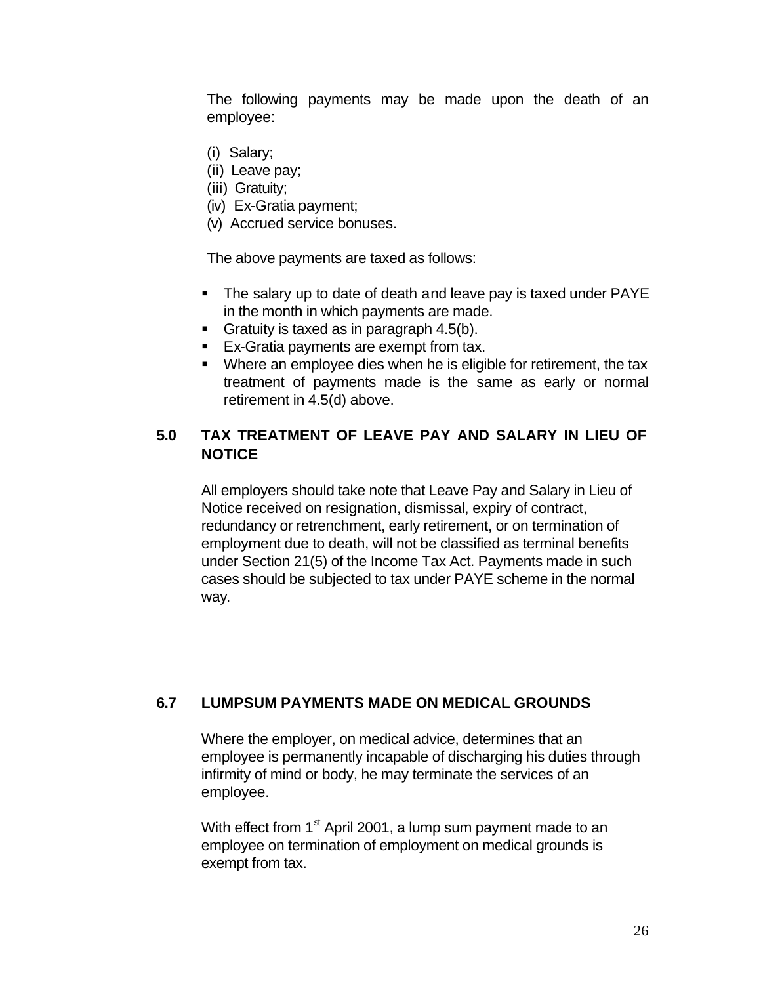The following payments may be made upon the death of an employee:

- (i) Salary;
- (ii) Leave pay;
- (iii) Gratuity;
- (iv) Ex-Gratia payment;
- (v) Accrued service bonuses.

The above payments are taxed as follows:

- The salary up to date of death and leave pay is taxed under PAYE in the month in which payments are made.
- Gratuity is taxed as in paragraph  $4.5(b)$ .
- Ex-Gratia payments are exempt from tax.
- Where an employee dies when he is eligible for retirement, the tax treatment of payments made is the same as early or normal retirement in 4.5(d) above.

#### **5.0 TAX TREATMENT OF LEAVE PAY AND SALARY IN LIEU OF NOTICE**

All employers should take note that Leave Pay and Salary in Lieu of Notice received on resignation, dismissal, expiry of contract, redundancy or retrenchment, early retirement, or on termination of employment due to death, will not be classified as terminal benefits under Section 21(5) of the Income Tax Act. Payments made in such cases should be subjected to tax under PAYE scheme in the normal way.

#### **6.7 LUMPSUM PAYMENTS MADE ON MEDICAL GROUNDS**

Where the employer, on medical advice, determines that an employee is permanently incapable of discharging his duties through infirmity of mind or body, he may terminate the services of an employee.

With effect from  $1<sup>st</sup>$  April 2001, a lump sum payment made to an employee on termination of employment on medical grounds is exempt from tax.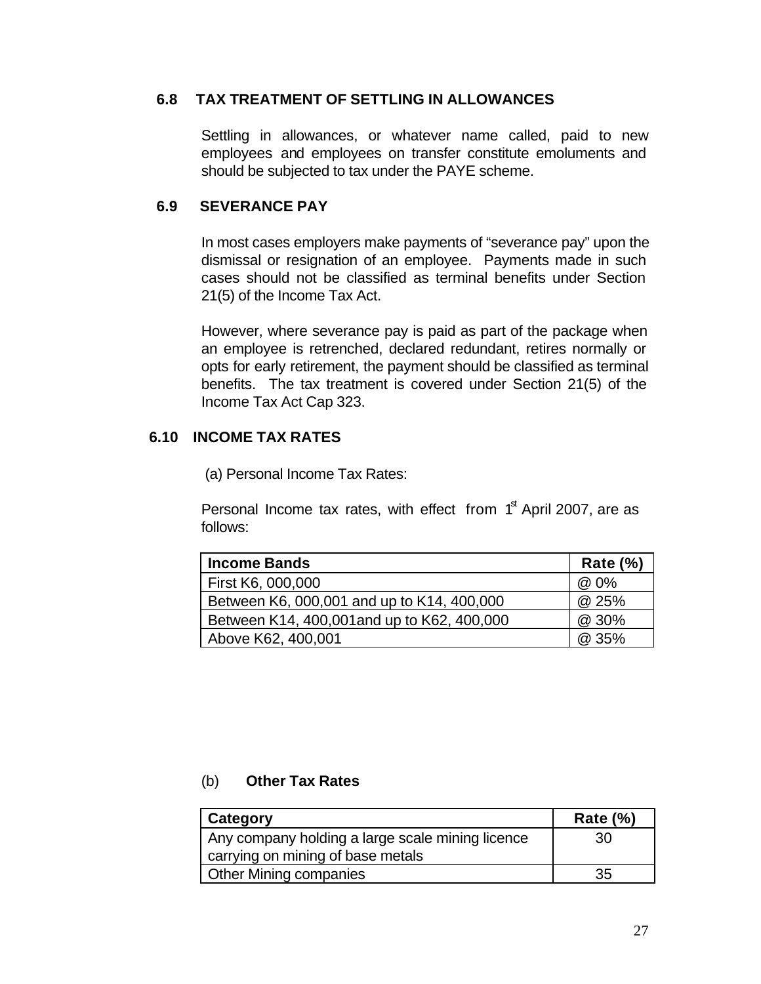#### **6.8 TAX TREATMENT OF SETTLING IN ALLOWANCES**

Settling in allowances, or whatever name called, paid to new employees and employees on transfer constitute emoluments and should be subjected to tax under the PAYE scheme.

#### **6.9 SEVERANCE PAY**

In most cases employers make payments of "severance pay" upon the dismissal or resignation of an employee. Payments made in such cases should not be classified as terminal benefits under Section 21(5) of the Income Tax Act.

However, where severance pay is paid as part of the package when an employee is retrenched, declared redundant, retires normally or opts for early retirement, the payment should be classified as terminal benefits. The tax treatment is covered under Section 21(5) of the Income Tax Act Cap 323.

#### **6.10 INCOME TAX RATES**

(a) Personal Income Tax Rates:

Personal Income tax rates, with effect from  $1<sup>st</sup>$  April 2007, are as follows:

| <b>Income Bands</b>                         | <b>Rate (%)</b> |
|---------------------------------------------|-----------------|
| First K6, 000,000                           | @ 0%            |
| Between K6, 000,001 and up to K14, 400,000  | @ 25%           |
| Between K14, 400,001 and up to K62, 400,000 | @ 30%           |
| Above K62, 400,001                          | @ 35%           |

#### (b) **Other Tax Rates**

| Category                                         | Rate $(\%)$ |
|--------------------------------------------------|-------------|
| Any company holding a large scale mining licence | 30          |
| carrying on mining of base metals                |             |
| <b>Other Mining companies</b>                    | 35          |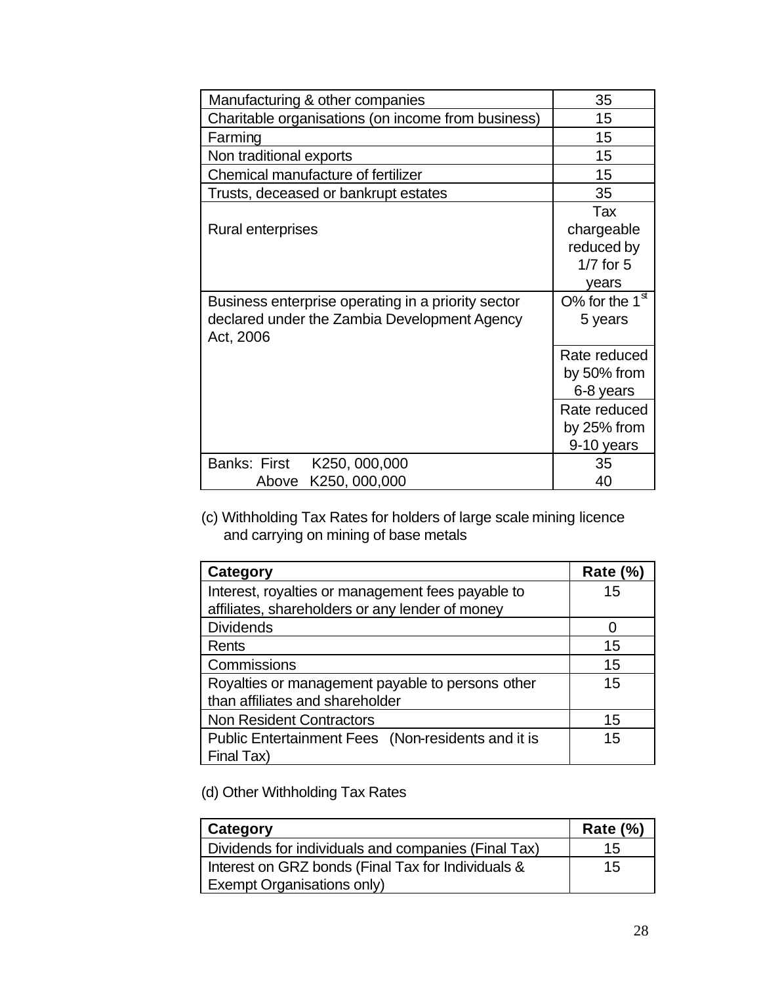| Manufacturing & other companies                    | 35               |
|----------------------------------------------------|------------------|
| Charitable organisations (on income from business) | 15               |
| Farming                                            | 15               |
| Non traditional exports                            | 15               |
| Chemical manufacture of fertilizer                 | 15               |
| Trusts, deceased or bankrupt estates               | 35               |
|                                                    | Tax              |
| Rural enterprises                                  | chargeable       |
|                                                    | reduced by       |
|                                                    | $1/7$ for $5$    |
|                                                    | years            |
| Business enterprise operating in a priority sector | O% for the $1st$ |
| declared under the Zambia Development Agency       | 5 years          |
| Act, 2006                                          |                  |
|                                                    | Rate reduced     |
|                                                    | by 50% from      |
|                                                    | 6-8 years        |
|                                                    | Rate reduced     |
|                                                    | by 25% from      |
|                                                    | 9-10 years       |
| Banks: First<br>K250, 000,000                      | 35               |
| K250, 000,000<br>Above                             | 40               |

(c) Withholding Tax Rates for holders of large scale mining licence and carrying on mining of base metals

| Category                                           | <b>Rate (%)</b> |
|----------------------------------------------------|-----------------|
| Interest, royalties or management fees payable to  | 15              |
| affiliates, shareholders or any lender of money    |                 |
| <b>Dividends</b>                                   |                 |
| Rents                                              | 15              |
| Commissions                                        | 15              |
| Royalties or management payable to persons other   | 15              |
| than affiliates and shareholder                    |                 |
| <b>Non Resident Contractors</b>                    | 15              |
| Public Entertainment Fees (Non-residents and it is | 15              |
| Final Tax)                                         |                 |

(d) Other Withholding Tax Rates

| Category                                            | Rate $(\%)$ |
|-----------------------------------------------------|-------------|
| Dividends for individuals and companies (Final Tax) | 15          |
| Interest on GRZ bonds (Final Tax for Individuals &  | 15          |
| Exempt Organisations only)                          |             |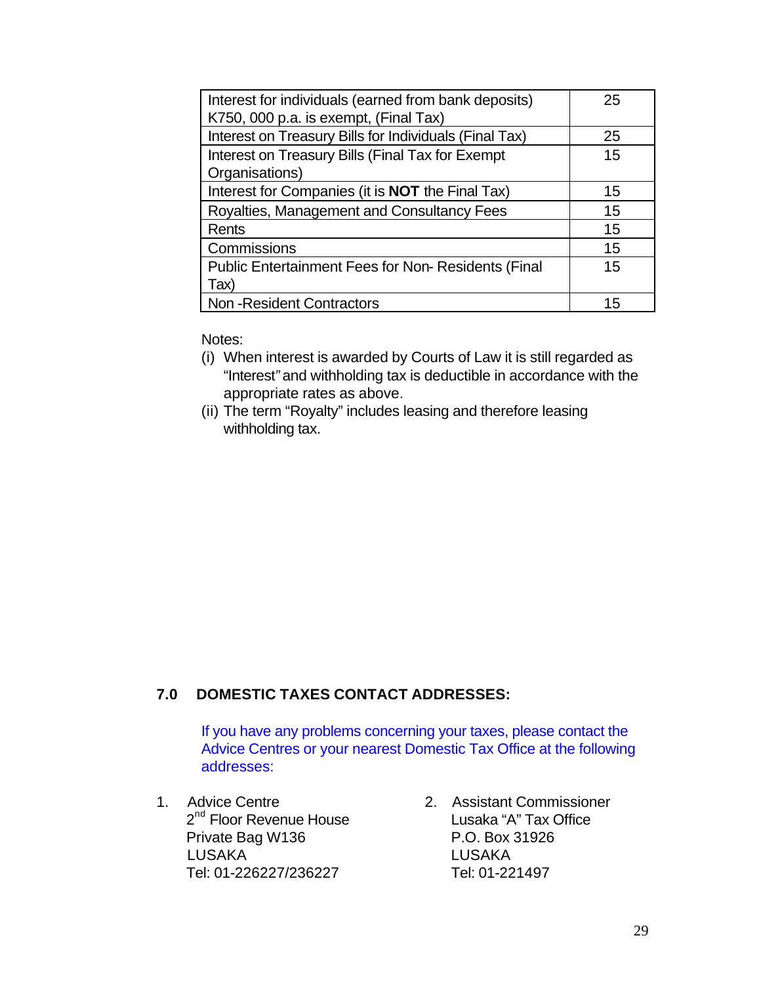| Interest for individuals (earned from bank deposits)       | 25 |
|------------------------------------------------------------|----|
| K750, 000 p.a. is exempt, (Final Tax)                      |    |
| Interest on Treasury Bills for Individuals (Final Tax)     | 25 |
| Interest on Treasury Bills (Final Tax for Exempt           | 15 |
| Organisations)                                             |    |
| Interest for Companies (it is <b>NOT</b> the Final Tax)    | 15 |
| Royalties, Management and Consultancy Fees                 | 15 |
| Rents                                                      | 15 |
| Commissions                                                | 15 |
| <b>Public Entertainment Fees for Non- Residents (Final</b> | 15 |
| Tax)                                                       |    |
| <b>Non-Resident Contractors</b>                            | 15 |

Notes:

- (i) When interest is awarded by Courts of Law it is still regarded as "Interest*"* and withholding tax is deductible in accordance with the appropriate rates as above.
- (ii) The term "Royalty" includes leasing and therefore leasing withholding tax.

## **7.0 DOMESTIC TAXES CONTACT ADDRESSES:**

If you have any problems concerning your taxes, please contact the Advice Centres or your nearest Domestic Tax Office at the following addresses:

- Private Bag W136 P.O. Box 31926 LUSAKA LUSAKA Tel: 01-226227/236227 Tel: 01-221497
- 1. Advice Centre 2. Assistant Commissioner 2<sup>nd</sup> Floor Revenue House Lusaka "A" Tax Office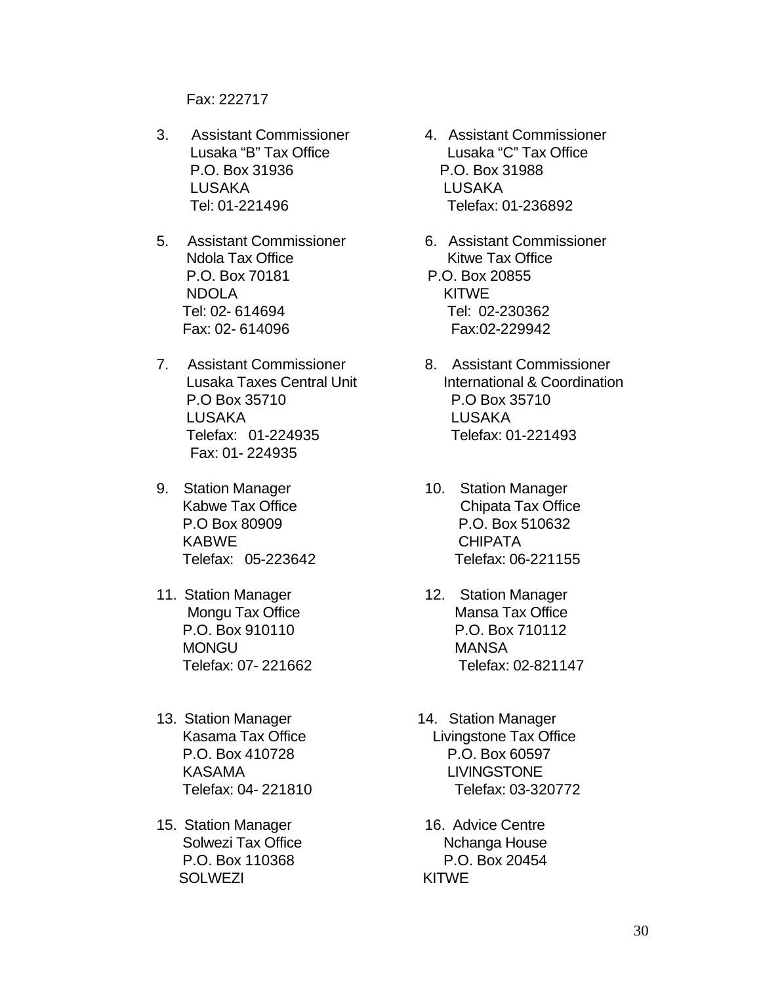Fax: 222717

- 3. Assistant Commissioner 4. Assistant Commissioner P.O. Box 31936 P.O. Box 31988 LUSAKA LUSAKA Tel: 01-221496 Telefax: 01-236892
- 5. Assistant Commissioner 6. Assistant Commissioner Ndola Tax Office Kitwe Tax Office P.O. Box 70181 P.O. Box 20855 NDOLA KITWE Tel: 02- 614694 Tel: 02-230362 Fax: 02- 614096 Fax:02-229942
- 7. Assistant Commissioner 8. Assistant Commissioner P.O Box 35710 P.O Box 35710 LUSAKA LUSAKA Telefax: 01-224935 Telefax: 01-221493 Fax: 01- 224935
- 9. Station Manager 10. Station Manager KABWE CHIPATA
- 11. Station Manager 12. Station Manager MONGU NANSA
- 13. Station Manager 14. Station Manager KASAMA LIVINGSTONE
- 15. Station Manager 16. Advice Centre SOLWEZI KITWE
- Lusaka "B" Tax Office Lusaka "C" Tax Office
	-
- Lusaka Taxes Central Unit **International & Coordination**
- Kabwe Tax Office **Chipata Tax Office**  P.O Box 80909 P.O. Box 510632 Telefax: 05-223642 Telefax: 06-221155
- Mongu Tax Office Mansa Tax Office P.O. Box 910110 P.O. Box 710112 Telefax: 07- 221662 Telefax: 02-821147
- Kasama Tax Office Livingstone Tax Office P.O. Box 410728 P.O. Box 60597 Telefax: 04- 221810 Telefax: 03-320772
- Solwezi Tax Office New York Nchanga House P.O. Box 110368 P.O. Box 20454